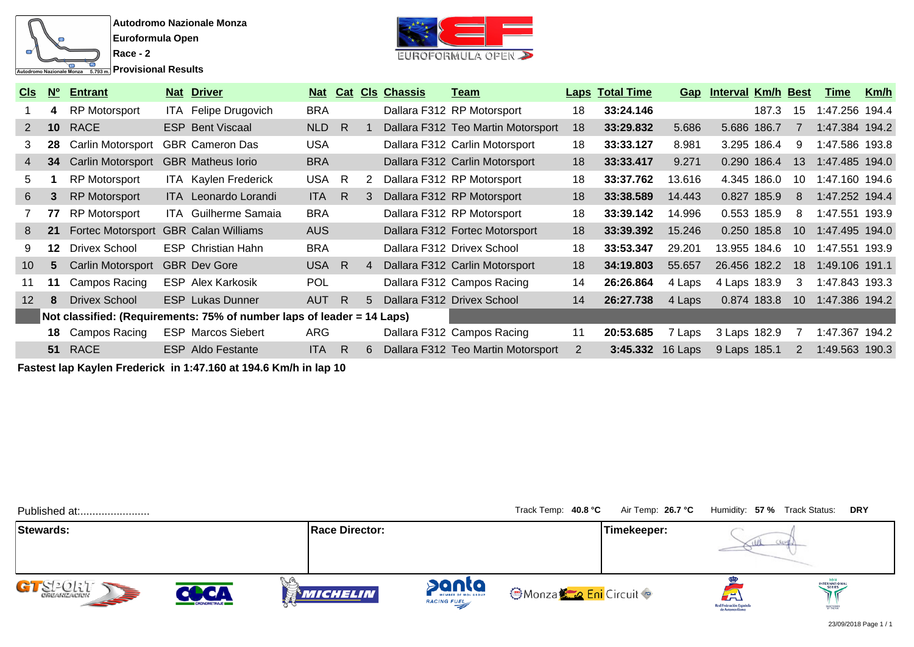

**Race - 2 Provisional Results** 



| C <sub>ls</sub> | $N^{\circ}$ | <b>Entrant</b>                       |      | <b>Nat Driver</b>                                                      | <b>Nat</b> |     |   | <b>Cat Cls Chassis</b> | Team                               |    | <b>Laps Total Time</b> | Gap     | <b>Interval Km/h Best</b> |       |                 | Time           | <u>Km/h</u> |
|-----------------|-------------|--------------------------------------|------|------------------------------------------------------------------------|------------|-----|---|------------------------|------------------------------------|----|------------------------|---------|---------------------------|-------|-----------------|----------------|-------------|
|                 | 4           | <b>RP Motorsport</b>                 | ITA. | Felipe Drugovich                                                       | <b>BRA</b> |     |   |                        | Dallara F312 RP Motorsport         | 18 | 33:24.146              |         |                           | 187.3 | 15              | 1:47.256 194.4 |             |
| 2               | 10          | <b>RACE</b>                          |      | <b>ESP Bent Viscaal</b>                                                | <b>NLD</b> | - R |   |                        | Dallara F312 Teo Martin Motorsport | 18 | 33:29.832              | 5.686   | 5.686 186.7               |       |                 | 1:47.384 194.2 |             |
| 3               | 28          | Carlin Motorsport                    |      | <b>GBR Cameron Das</b>                                                 | <b>USA</b> |     |   |                        | Dallara F312 Carlin Motorsport     | 18 | 33:33.127              | 8.981   | 3.295 186.4               |       | 9               | 1:47.586 193.8 |             |
| 4               | 34          | Carlin Motorsport                    |      | <b>GBR</b> Matheus lorio                                               | <b>BRA</b> |     |   |                        | Dallara F312 Carlin Motorsport     | 18 | 33:33.417              | 9.271   | 0.290 186.4               |       | 13              | 1:47.485 194.0 |             |
| 5               |             | <b>RP Motorsport</b>                 |      | ITA Kaylen Frederick                                                   | <b>USA</b> | - R | 2 |                        | Dallara F312 RP Motorsport         | 18 | 33:37.762              | 13.616  | 4.345 186.0               |       | 10              | 1:47.160 194.6 |             |
| 6               | 3           | <b>RP Motorsport</b>                 |      | <b>ITA</b> Leonardo Lorandi                                            | <b>ITA</b> | R   | 3 |                        | Dallara F312 RP Motorsport         | 18 | 33:38.589              | 14.443  | 0.827 185.9               |       | 8               | 1:47.252 194.4 |             |
|                 | 77          | <b>RP Motorsport</b>                 |      | <b>ITA</b> Guilherme Samaia                                            | <b>BRA</b> |     |   |                        | Dallara F312 RP Motorsport         | 18 | 33:39.142              | 14.996  | 0.553 185.9               |       | 8               | 1:47.551 193.9 |             |
| 8               | 21          | Fortec Motorsport GBR Calan Williams |      |                                                                        | <b>AUS</b> |     |   |                        | Dallara F312 Fortec Motorsport     | 18 | 33:39.392              | 15.246  | 0.250 185.8               |       | 10 <sup>°</sup> | 1:47.495 194.0 |             |
| 9               | 12          | <b>Drivex School</b>                 |      | <b>ESP</b> Christian Hahn                                              | <b>BRA</b> |     |   |                        | Dallara F312 Drivex School         | 18 | 33:53.347              | 29.201  | 13.955 184.6              |       | 10              | 1:47.551       | 193.9       |
| 10              | 5           | Carlin Motorsport                    |      | <b>GBR Dev Gore</b>                                                    | USA R      |     | 4 |                        | Dallara F312 Carlin Motorsport     | 18 | 34:19.803              | 55.657  | 26.456 182.2              |       | 18              | 1:49.106 191.1 |             |
|                 | 11          | Campos Racing                        |      | <b>ESP Alex Karkosik</b>                                               | POL        |     |   |                        | Dallara F312 Campos Racing         | 14 | 26:26.864              | 4 Laps  | 4 Laps 183.9              |       | 3               | 1:47.843 193.3 |             |
| 12              | 8           | <b>Drivex School</b>                 |      | <b>ESP</b> Lukas Dunner                                                | <b>AUT</b> | R   | 5 |                        | Dallara F312 Drivex School         | 14 | 26:27.738              | 4 Laps  | 0.874 183.8               |       | 10 <sup>°</sup> | 1:47.386 194.2 |             |
|                 |             |                                      |      | Not classified: (Requirements: 75% of number laps of leader = 14 Laps) |            |     |   |                        |                                    |    |                        |         |                           |       |                 |                |             |
|                 |             | <b>18</b> Campos Racing              |      | <b>ESP Marcos Siebert</b>                                              | ARG        |     |   |                        | Dallara F312 Campos Racing         | 11 | 20:53.685              | 7 Laps  | 3 Laps 182.9              |       |                 | 1:47.367       | 194.2       |
|                 | 51          | <b>RACE</b>                          | ESP  | Aldo Festante                                                          | <b>ITA</b> | R   | 6 |                        | Dallara F312 Teo Martin Motorsport | 2  | 3:45.332               | 16 Laps | 9 Laps 185.1              |       | 2               | 1:49.563 190.3 |             |

**Fastest lap Kaylen Frederick in 1:47.160 at 194.6 Km/h in lap 10**

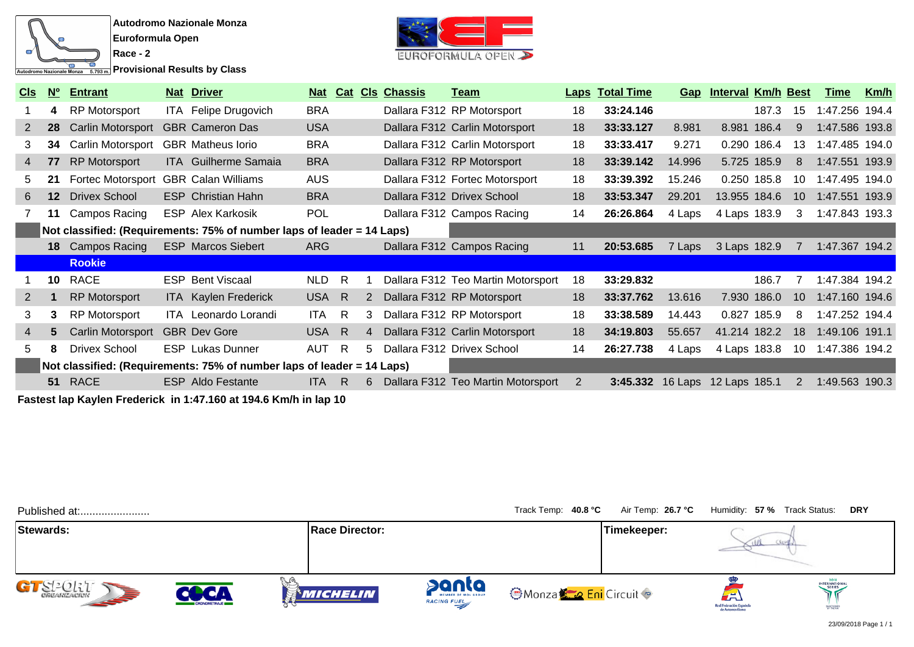

**Provisional Results by Class** 



| <u>CIs</u>     | N <sup>o</sup>                                                         | <b>Entrant</b>       |  | <b>Nat Driver</b>           | <u>Nat</u> | Cat |                | <b>CIs Chassis</b> | <u>Team</u>                        |    | <b>Laps Total Time</b> | Gap    | <b>Interval Km/h Best</b> |       |                | <u>Time</u>    | <u>Km/h</u> |
|----------------|------------------------------------------------------------------------|----------------------|--|-----------------------------|------------|-----|----------------|--------------------|------------------------------------|----|------------------------|--------|---------------------------|-------|----------------|----------------|-------------|
|                | 4                                                                      | <b>RP Motorsport</b> |  | ITA Felipe Drugovich        | <b>BRA</b> |     |                |                    | Dallara F312 RP Motorsport         | 18 | 33:24.146              |        |                           | 187.3 | 15             | 1:47.256 194.4 |             |
| $2^{\circ}$    | 28                                                                     | Carlin Motorsport    |  | <b>GBR Cameron Das</b>      | <b>USA</b> |     |                |                    | Dallara F312 Carlin Motorsport     | 18 | 33:33.127              | 8.981  | 8.981 186.4               |       | 9              | 1:47.586 193.8 |             |
| 3              | 34                                                                     | Carlin Motorsport    |  | <b>GBR</b> Matheus lorio    | <b>BRA</b> |     |                |                    | Dallara F312 Carlin Motorsport     | 18 | 33:33.417              | 9.271  | 0.290 186.4               |       | 13             | 1:47.485 194.0 |             |
| $\overline{4}$ | 77                                                                     | <b>RP Motorsport</b> |  | <b>ITA</b> Guilherme Samaia | <b>BRA</b> |     |                |                    | Dallara F312 RP Motorsport         | 18 | 33:39.142              | 14.996 | 5.725 185.9               |       | 8              | 1:47.551 193.9 |             |
| 5.             | 21                                                                     | Fortec Motorsport    |  | <b>GBR Calan Williams</b>   | <b>AUS</b> |     |                |                    | Dallara F312 Fortec Motorsport     | 18 | 33:39.392              | 15.246 | 0.250 185.8               |       | 10             | 1:47.495 194.0 |             |
| 6              | $12 \overline{ }$                                                      | <b>Drivex School</b> |  | <b>ESP</b> Christian Hahn   | <b>BRA</b> |     |                |                    | Dallara F312 Drivex School         | 18 | 33:53.347              | 29.201 | 13.955 184.6              |       | 10             | 1:47.551 193.9 |             |
|                | 11                                                                     | Campos Racing        |  | <b>ESP Alex Karkosik</b>    | <b>POL</b> |     |                |                    | Dallara F312 Campos Racing         | 14 | 26:26.864              | 4 Laps | 4 Laps 183.9              |       | 3              | 1:47.843 193.3 |             |
|                | Not classified: (Requirements: 75% of number laps of leader = 14 Laps) |                      |  |                             |            |     |                |                    |                                    |    |                        |        |                           |       |                |                |             |
|                |                                                                        | 18 Campos Racing     |  | <b>ESP Marcos Siebert</b>   | <b>ARG</b> |     |                |                    | Dallara F312 Campos Racing         | 11 | 20:53.685              | 7 Laps | 3 Laps 182.9              |       |                | 1:47.367 194.2 |             |
|                |                                                                        | <b>Rookie</b>        |  |                             |            |     |                |                    |                                    |    |                        |        |                           |       |                |                |             |
|                | 10 <sup>1</sup>                                                        | RACE                 |  | <b>ESP Bent Viscaal</b>     | <b>NLD</b> | R   |                |                    | Dallara F312 Teo Martin Motorsport | 18 | 33:29.832              |        |                           | 186.7 |                | 1:47.384 194.2 |             |
| 2              |                                                                        | <b>RP Motorsport</b> |  | ITA Kaylen Frederick        | USA R      |     | 2              |                    | Dallara F312 RP Motorsport         | 18 | 33:37.762              | 13.616 | 7.930 186.0               |       | 10             | 1:47.160 194.6 |             |
| 3              | 3                                                                      | <b>RP Motorsport</b> |  | ITA Leonardo Lorandi        | <b>ITA</b> | R   | 3              |                    | Dallara F312 RP Motorsport         | 18 | 33:38.589              | 14.443 | 0.827 185.9               |       | 8              | 1:47.252 194.4 |             |
| 4              | 5                                                                      | Carlin Motorsport    |  | <b>GBR</b> Dev Gore         | USA R      |     | $\overline{4}$ |                    | Dallara F312 Carlin Motorsport     | 18 | 34:19.803              | 55.657 | 41.214 182.2              |       | 18             | 1:49.106 191.1 |             |
| 5.             | 8                                                                      | <b>Drivex School</b> |  | <b>ESP</b> Lukas Dunner     | <b>AUT</b> | -R  | 5.             |                    | Dallara F312 Drivex School         | 14 | 26:27.738              | 4 Laps | 4 Laps 183.8              |       | 10             | 1:47.386 194.2 |             |
|                | Not classified: (Requirements: 75% of number laps of leader = 14 Laps) |                      |  |                             |            |     |                |                    |                                    |    |                        |        |                           |       |                |                |             |
|                |                                                                        | 51 RACE              |  | <b>ESP</b> Aldo Festante    | <b>ITA</b> | R   | 6.             |                    | Dallara F312 Teo Martin Motorsport | 2  | 3:45.332               |        | 16 Laps 12 Laps 185.1     |       | $\overline{2}$ | 1:49.563 190.3 |             |

**Fastest lap Kaylen Frederick in 1:47.160 at 194.6 Km/h in lap 10**

| Published at:             |                                   |                       |                      | Track Temp: 40.8 °C          | Air Temp: 26.7 °C | Humidity: 57 % Track Status:                      | <b>DRY</b>                                  |
|---------------------------|-----------------------------------|-----------------------|----------------------|------------------------------|-------------------|---------------------------------------------------|---------------------------------------------|
| Stewards:                 |                                   | <b>Race Director:</b> |                      |                              | Timekeeper:       |                                                   |                                             |
| $S^2$ $SL^2$ $OL^2$ $I^2$ | <b>ACA</b><br><b>CRONOMETRAJE</b> | MICHELIN              | panta<br>RACING FUEL | <b>OMonza Co Eni</b> Circuit |                   | ∼<br>Real Federación Española<br>de Automovilismo | <b>INTERNATIONAL</b><br>SERIES<br>SANCRONED |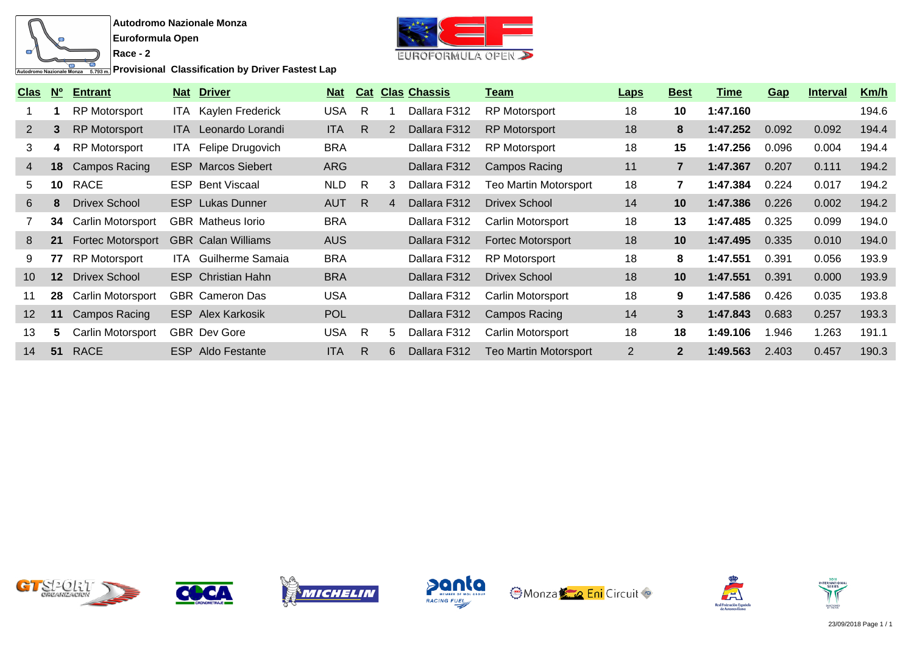

**Race - 2**

**Provisional Classification by Driver Fastest Lap** 



| <b>Clas</b>     | $N^{\circ}$     | <b>Entrant</b>       | <b>Nat Driver</b>           | <b>Nat</b> |              |    | <b>Cat Clas Chassis</b> | Team                     | <b>Laps</b>    | <b>Best</b>    | Time     | Gap   | <b>Interval</b> | Km/h  |
|-----------------|-----------------|----------------------|-----------------------------|------------|--------------|----|-------------------------|--------------------------|----------------|----------------|----------|-------|-----------------|-------|
|                 |                 | <b>RP Motorsport</b> | ITA Kaylen Frederick        | <b>USA</b> | $\mathsf{R}$ |    | Dallara F312            | <b>RP Motorsport</b>     | 18             | 10             | 1:47.160 |       |                 | 194.6 |
| $\mathbf{2}$    | 3               | <b>RP Motorsport</b> | ITA Leonardo Lorandi        | ITA.       | $\mathsf{R}$ | 2  | Dallara F312            | <b>RP Motorsport</b>     | 18             | 8              | 1:47.252 | 0.092 | 0.092           | 194.4 |
| 3               | 4               | <b>RP Motorsport</b> | ITA Felipe Drugovich        | <b>BRA</b> |              |    | Dallara F312            | <b>RP Motorsport</b>     | 18             | 15             | 1:47.256 | 0.096 | 0.004           | 194.4 |
| 4               | 18              | Campos Racing        | <b>ESP</b> Marcos Siebert   | <b>ARG</b> |              |    | Dallara F312            | <b>Campos Racing</b>     | 11             | $\overline{7}$ | 1:47.367 | 0.207 | 0.111           | 194.2 |
| 5               | 10              | RACE                 | <b>ESP</b> Bent Viscaal     | <b>NLD</b> | $\mathsf{R}$ | 3  | Dallara F312            | Teo Martin Motorsport    | 18             | $\overline{7}$ | 1:47.384 | 0.224 | 0.017           | 194.2 |
| 6               | 8               | <b>Drivex School</b> | <b>ESP</b> Lukas Dunner     | <b>AUT</b> | R            | 4  | Dallara F312            | Drivex School            | 14             | 10             | 1:47.386 | 0.226 | 0.002           | 194.2 |
|                 | 34              | Carlin Motorsport    | <b>GBR</b> Matheus lorio    | <b>BRA</b> |              |    | Dallara F312            | <b>Carlin Motorsport</b> | 18             | 13             | 1:47.485 | 0.325 | 0.099           | 194.0 |
| 8               | 21              | Fortec Motorsport    | <b>GBR</b> Calan Williams   | <b>AUS</b> |              |    | Dallara F312            | <b>Fortec Motorsport</b> | 18             | 10             | 1:47.495 | 0.335 | 0.010           | 194.0 |
| 9               | 77              | <b>RP Motorsport</b> | <b>ITA</b> Guilherme Samaia | <b>BRA</b> |              |    | Dallara F312            | <b>RP Motorsport</b>     | 18             | 8              | 1:47.551 | 0.391 | 0.056           | 193.9 |
| 10 <sup>°</sup> | 12 <sup>°</sup> | <b>Drivex School</b> | <b>ESP</b> Christian Hahn   | <b>BRA</b> |              |    | Dallara F312            | Drivex School            | 18             | 10             | 1:47.551 | 0.391 | 0.000           | 193.9 |
| 11              | 28              | Carlin Motorsport    | <b>GBR</b> Cameron Das      | <b>USA</b> |              |    | Dallara F312            | Carlin Motorsport        | 18             | 9              | 1:47.586 | 0.426 | 0.035           | 193.8 |
| 12              | 11              | Campos Racing        | <b>ESP</b> Alex Karkosik    | <b>POL</b> |              |    | Dallara F312            | Campos Racing            | 14             | 3              | 1:47.843 | 0.683 | 0.257           | 193.3 |
| 13              | 5               | Carlin Motorsport    | <b>GBR</b> Dev Gore         | <b>USA</b> | $\mathsf{R}$ | 5. | Dallara F312            | Carlin Motorsport        | 18             | 18             | 1:49.106 | 1.946 | 1.263           | 191.1 |
| 14              | 51              | <b>RACE</b>          | <b>ESP</b> Aldo Festante    | <b>ITA</b> | R.           | 6  | Dallara F312            | Teo Martin Motorsport    | $\overline{2}$ | $\mathbf{2}$   | 1:49.563 | 2.403 | 0.457           | 190.3 |













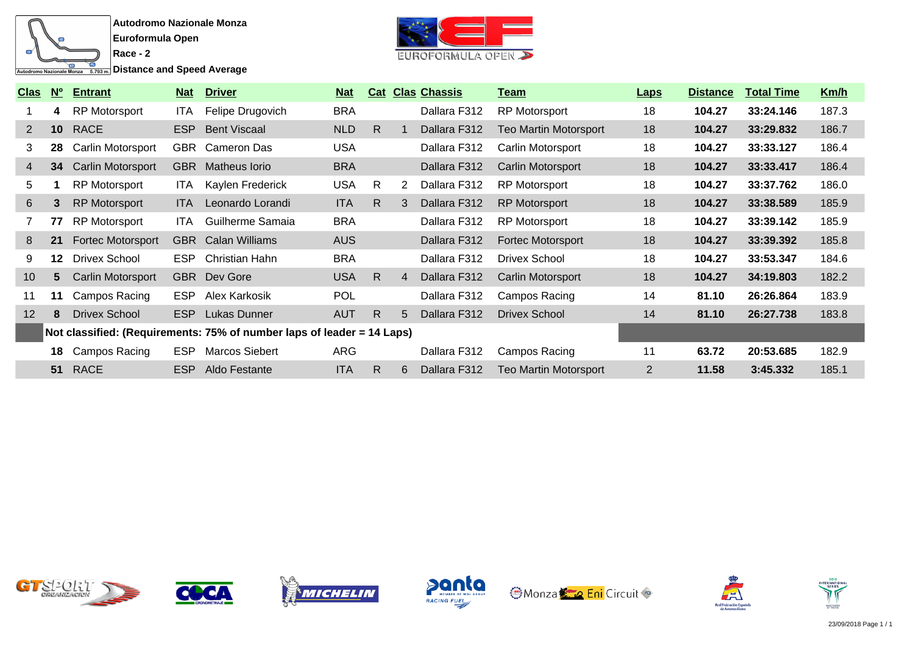

**Distance and Speed Average** 



| <u>Clas</u>  | <b>No</b>       | <b>Entrant</b>           | <u>Nat</u> | <b>Driver</b>                                                          | <u>Nat</u> |              |             | <b>Cat Clas Chassis</b> | Team                     | <b>Laps</b>    | <b>Distance</b> | <b>Total Time</b> | Km/h  |
|--------------|-----------------|--------------------------|------------|------------------------------------------------------------------------|------------|--------------|-------------|-------------------------|--------------------------|----------------|-----------------|-------------------|-------|
|              | 4               | <b>RP Motorsport</b>     | ITA.       | Felipe Drugovich                                                       | <b>BRA</b> |              |             | Dallara F312            | <b>RP Motorsport</b>     | 18             | 104.27          | 33:24.146         | 187.3 |
| $\mathbf{2}$ | 10 <sup>°</sup> | <b>RACE</b>              | <b>ESP</b> | <b>Bent Viscaal</b>                                                    | <b>NLD</b> | R.           |             | Dallara F312            | Teo Martin Motorsport    | 18             | 104.27          | 33:29.832         | 186.7 |
| 3            | 28              | Carlin Motorsport        |            | <b>GBR</b> Cameron Das                                                 | <b>USA</b> |              |             | Dallara F312            | Carlin Motorsport        | 18             | 104.27          | 33:33.127         | 186.4 |
| 4            | 34              | Carlin Motorsport        |            | <b>GBR</b> Matheus lorio                                               | <b>BRA</b> |              |             | Dallara F312            | Carlin Motorsport        | 18             | 104.27          | 33:33.417         | 186.4 |
| 5            |                 | <b>RP Motorsport</b>     | ITA.       | Kaylen Frederick                                                       | <b>USA</b> | $\mathsf{R}$ | 2           | Dallara F312            | <b>RP Motorsport</b>     | 18             | 104.27          | 33:37.762         | 186.0 |
| 6            | 3               | <b>RP Motorsport</b>     | ITA.       | Leonardo Lorandi                                                       | <b>ITA</b> | $\mathsf{R}$ | 3           | Dallara F312            | <b>RP Motorsport</b>     | 18             | 104.27          | 33:38.589         | 185.9 |
|              | 77              | <b>RP Motorsport</b>     | ITA.       | Guilherme Samaia                                                       | <b>BRA</b> |              |             | Dallara F312            | <b>RP Motorsport</b>     | 18             | 104.27          | 33:39.142         | 185.9 |
| 8            | 21              | <b>Fortec Motorsport</b> |            | <b>GBR</b> Calan Williams                                              | <b>AUS</b> |              |             | Dallara F312            | <b>Fortec Motorsport</b> | 18             | 104.27          | 33:39.392         | 185.8 |
| 9            | $12 \,$         | <b>Drivex School</b>     | <b>ESP</b> | Christian Hahn                                                         | <b>BRA</b> |              |             | Dallara F312            | <b>Drivex School</b>     | 18             | 104.27          | 33:53.347         | 184.6 |
| 10           | 5.              | Carlin Motorsport        |            | <b>GBR</b> Dev Gore                                                    | <b>USA</b> | $\mathsf{R}$ | 4           | Dallara F312            | Carlin Motorsport        | 18             | 104.27          | 34:19.803         | 182.2 |
| 11           | 11              | Campos Racing            | ESP.       | Alex Karkosik                                                          | <b>POL</b> |              |             | Dallara F312            | Campos Racing            | 14             | 81.10           | 26:26.864         | 183.9 |
| 12           | 8               | <b>Drivex School</b>     | ESP        | <b>Lukas Dunner</b>                                                    | <b>AUT</b> | R.           | $5^{\circ}$ | Dallara F312            | <b>Drivex School</b>     | 14             | 81.10           | 26:27.738         | 183.8 |
|              |                 |                          |            | Not classified: (Requirements: 75% of number laps of leader = 14 Laps) |            |              |             |                         |                          |                |                 |                   |       |
|              | 18              | Campos Racing            | <b>ESP</b> | <b>Marcos Siebert</b>                                                  | <b>ARG</b> |              |             | Dallara F312            | Campos Racing            | 11             | 63.72           | 20:53.685         | 182.9 |
|              | 51              | <b>RACE</b>              | <b>ESP</b> | Aldo Festante                                                          | <b>ITA</b> | R.           | 6           | Dallara F312            | Teo Martin Motorsport    | $\overline{2}$ | 11.58           | 3:45.332          | 185.1 |













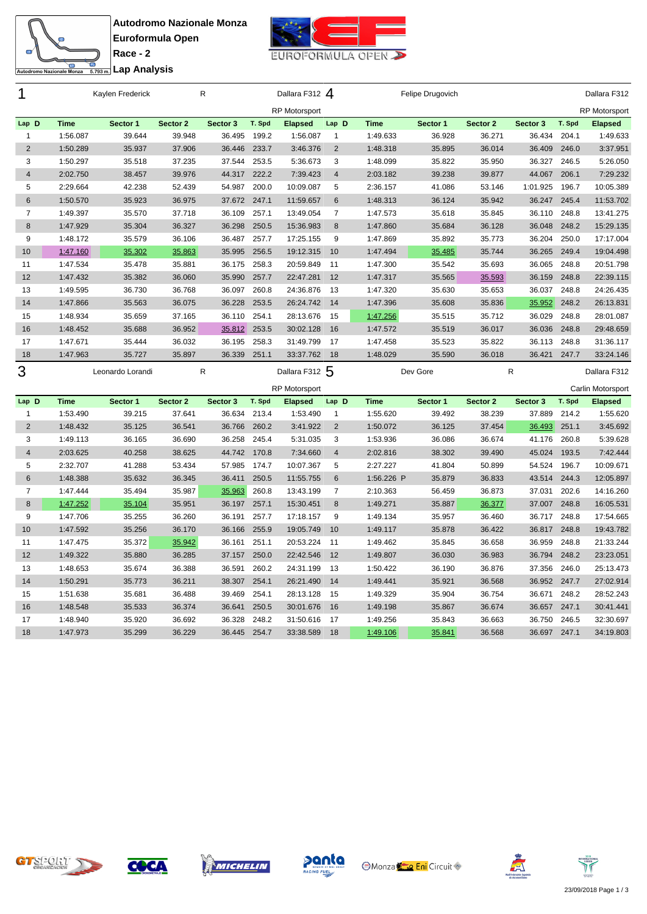



**Race - 2** <del>ta</del><br>Engli**analisis** Lap Analysis

| 1                       |             | Kaylen Frederick |          | R         |        | Dallara F312 4<br>Felipe Drugovich |                |             |          |          |          | Dallara F312 |                      |
|-------------------------|-------------|------------------|----------|-----------|--------|------------------------------------|----------------|-------------|----------|----------|----------|--------------|----------------------|
|                         |             |                  |          |           |        | <b>RP Motorsport</b>               |                |             |          |          |          |              | <b>RP Motorsport</b> |
| Lap D                   | <b>Time</b> | Sector 1         | Sector 2 | Sector 3  | T. Spd | <b>Elapsed</b>                     | Lap D          | <b>Time</b> | Sector 1 | Sector 2 | Sector 3 | T. Spd       | <b>Elapsed</b>       |
| $\mathbf{1}$            | 1:56.087    | 39.644           | 39.948   | 36.495    | 199.2  | 1:56.087                           | 1              | 1:49.633    | 36.928   | 36.271   | 36.434   | 204.1        | 1:49.633             |
| $\overline{2}$          | 1:50.289    | 35.937           | 37.906   | 36.446    | 233.7  | 3:46.376                           | $\overline{2}$ | 1:48.318    | 35.895   | 36.014   | 36.409   | 246.0        | 3:37.951             |
| 3                       | 1:50.297    | 35.518           | 37.235   | 37.544    | 253.5  | 5:36.673                           | 3              | 1:48.099    | 35.822   | 35.950   | 36.327   | 246.5        | 5:26.050             |
| $\overline{\mathbf{4}}$ | 2:02.750    | 38.457           | 39.976   | 44.317    | 222.2  | 7:39.423                           | $\overline{4}$ | 2:03.182    | 39.238   | 39.877   | 44.067   | 206.1        | 7:29.232             |
| 5                       | 2:29.664    | 42.238           | 52.439   | 54.987    | 200.0  | 10:09.087                          | 5              | 2:36.157    | 41.086   | 53.146   | 1:01.925 | 196.7        | 10:05.389            |
| 6                       | 1:50.570    | 35.923           | 36.975   | 37.672    | 247.1  | 11:59.657                          | 6              | 1:48.313    | 36.124   | 35.942   | 36.247   | 245.4        | 11:53.702            |
| $\overline{7}$          | 1:49.397    | 35.570           | 37.718   | 36.109    | 257.1  | 13:49.054                          | $\overline{7}$ | 1:47.573    | 35.618   | 35.845   | 36.110   | 248.8        | 13:41.275            |
| 8                       | 1:47.929    | 35.304           | 36.327   | 36.298    | 250.5  | 15:36.983                          | 8              | 1:47.860    | 35.684   | 36.128   | 36.048   | 248.2        | 15:29.135            |
| 9                       | 1:48.172    | 35.579           | 36.106   | 36.487    | 257.7  | 17:25.155                          | 9              | 1:47.869    | 35.892   | 35.773   | 36.204   | 250.0        | 17:17.004            |
| 10                      | 1:47.160    | 35.302           | 35.863   | 35.995    | 256.5  | 19:12.315                          | 10             | 1:47.494    | 35.485   | 35.744   | 36.265   | 249.4        | 19:04.498            |
| 11                      | 1:47.534    | 35.478           | 35.881   | 36.175    | 258.3  | 20:59.849                          | 11             | 1:47.300    | 35.542   | 35.693   | 36.065   | 248.8        | 20:51.798            |
| 12                      | 1:47.432    | 35.382           | 36.060   | 35.990    | 257.7  | 22:47.281                          | 12             | 1:47.317    | 35.565   | 35.593   | 36.159   | 248.8        | 22:39.115            |
| 13                      | 1:49.595    | 36.730           | 36.768   | 36.097    | 260.8  | 24:36.876                          | 13             | 1:47.320    | 35.630   | 35.653   | 36.037   | 248.8        | 24:26.435            |
| 14                      | 1:47.866    | 35.563           | 36.075   | 36.228    | 253.5  | 26:24.742                          | 14             | 1:47.396    | 35.608   | 35.836   | 35.952   | 248.2        | 26:13.831            |
| 15                      | 1:48.934    | 35.659           | 37.165   | 36.110    | 254.1  | 28:13.676                          | 15             | 1:47.256    | 35.515   | 35.712   | 36.029   | 248.8        | 28:01.087            |
| 16                      | 1:48.452    | 35.688           | 36.952   | 35.812    | 253.5  | 30:02.128                          | 16             | 1:47.572    | 35.519   | 36.017   | 36.036   | 248.8        | 29:48.659            |
| 17                      | 1:47.671    | 35.444           | 36.032   | 36.195    | 258.3  | 31:49.799                          | 17             | 1:47.458    | 35.523   | 35.822   | 36.113   | 248.8        | 31:36.117            |
| 18                      | 1:47.963    | 35.727           | 35.897   | 36.339    | 251.1  | 33:37.762                          | 18             | 1:48.029    | 35.590   | 36.018   | 36.421   | 247.7        | 33:24.146            |
|                         |             |                  |          |           |        |                                    |                |             |          |          |          |              |                      |
|                         |             | Leonardo Lorandi |          | ${\sf R}$ |        | Dallara F312 5                     |                |             | Dev Gore |          | R        |              | Dallara F312         |
| 3                       |             |                  |          |           |        | <b>RP Motorsport</b>               |                |             |          |          |          |              | Carlin Motorsport    |
| Lap D                   | <b>Time</b> | Sector 1         | Sector 2 | Sector 3  | T. Spd | <b>Elapsed</b>                     | Lap D          | <b>Time</b> | Sector 1 | Sector 2 | Sector 3 | T. Spd       | <b>Elapsed</b>       |
| $\mathbf{1}$            | 1:53.490    | 39.215           | 37.641   | 36.634    | 213.4  | 1:53.490                           | $\mathbf{1}$   | 1:55.620    | 39.492   | 38.239   | 37.889   | 214.2        | 1:55.620             |
| $\overline{2}$          | 1:48.432    | 35.125           | 36.541   | 36.766    | 260.2  | 3:41.922                           | $\sqrt{2}$     | 1:50.072    | 36.125   | 37.454   | 36.493   | 251.1        | 3:45.692             |
| 3                       | 1:49.113    | 36.165           | 36.690   | 36.258    | 245.4  | 5:31.035                           | 3              | 1:53.936    | 36.086   | 36.674   | 41.176   | 260.8        | 5:39.628             |
| $\overline{4}$          | 2:03.625    | 40.258           | 38.625   | 44.742    | 170.8  | 7:34.660                           | $\overline{4}$ | 2:02.816    | 38.302   | 39.490   | 45.024   | 193.5        | 7:42.444             |
| 5                       | 2:32.707    | 41.288           | 53.434   | 57.985    | 174.7  | 10:07.367                          | 5              | 2:27.227    | 41.804   | 50.899   | 54.524   | 196.7        | 10:09.671            |
| 6                       | 1:48.388    | 35.632           | 36.345   | 36.411    | 250.5  | 11:55.755                          | $6\phantom{1}$ | 1:56.226 P  | 35.879   | 36.833   | 43.514   | 244.3        | 12:05.897            |
| $\overline{7}$          | 1:47.444    | 35.494           | 35.987   | 35.963    | 260.8  | 13:43.199                          | $\overline{7}$ | 2:10.363    | 56.459   | 36.873   | 37.031   | 202.6        | 14:16.260            |
| 8                       | 1:47.252    | 35.104           | 35.951   | 36.197    | 257.1  | 15:30.451                          | 8              | 1:49.271    | 35.887   | 36.377   | 37.007   | 248.8        | 16:05.531            |
| 9                       | 1:47.706    | 35.255           | 36.260   | 36.191    | 257.7  | 17:18.157                          | 9              | 1:49.134    | 35.957   | 36.460   | 36.717   | 248.8        | 17:54.665            |
| 10                      | 1:47.592    | 35.256           | 36.170   | 36.166    | 255.9  | 19:05.749                          | 10             | 1:49.117    | 35.878   | 36.422   | 36.817   | 248.8        | 19:43.782            |
| 11                      | 1:47.475    | 35.372           | 35.942   | 36.161    | 251.1  | 20:53.224                          | 11             | 1:49.462    | 35.845   | 36.658   | 36.959   | 248.8        | 21:33.244            |
| 12                      | 1:49.322    | 35.880           | 36.285   | 37.157    | 250.0  | 22:42.546                          | 12             | 1:49.807    | 36.030   | 36.983   | 36.794   | 248.2        | 23:23.051            |
| 13                      | 1:48.653    | 35.674           | 36.388   | 36.591    | 260.2  | 24:31.199                          | 13             | 1:50.422    | 36.190   | 36.876   | 37.356   | 246.0        | 25:13.473            |
| 14                      | 1:50.291    | 35.773           | 36.211   | 38.307    | 254.1  | 26:21.490                          | 14             | 1:49.441    | 35.921   | 36.568   | 36.952   | 247.7        | 27:02.914            |
| 15                      | 1:51.638    | 35.681           | 36.488   | 39.469    | 254.1  | 28:13.128                          | 15             | 1:49.329    | 35.904   | 36.754   | 36.671   | 248.2        | 28:52.243            |
| 16                      | 1:48.548    | 35.533           | 36.374   | 36.641    | 250.5  | 30:01.676                          | 16             | 1:49.198    | 35.867   | 36.674   | 36.657   | 247.1        | 30:41.441            |
| 17                      | 1:48.940    | 35.920           | 36.692   | 36.328    | 248.2  | 31:50.616                          | 17             | 1:49.256    | 35.843   | 36.663   | 36.750   | 246.5        | 32:30.697            |









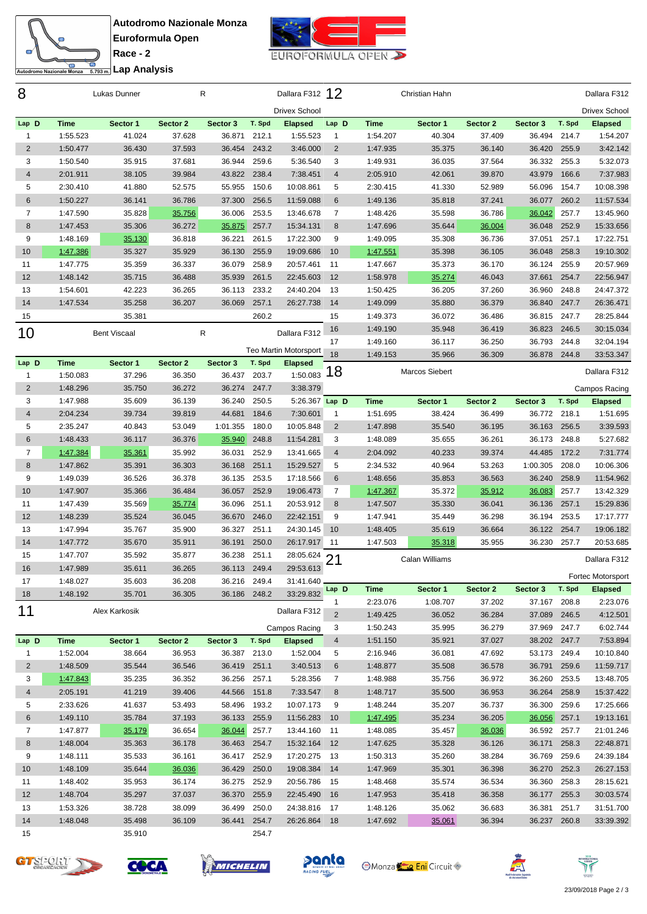



**Race - 2** <del>ta</del><br>Engli**analisis** Lap Analysis

| 8              |             | Lukas Dunner        |          | R            |        | Dallara F312 12            |                     |             | Christian Hahn |                    |              |        | Dallara F312               |
|----------------|-------------|---------------------|----------|--------------|--------|----------------------------|---------------------|-------------|----------------|--------------------|--------------|--------|----------------------------|
|                |             |                     |          |              |        | <b>Drivex School</b>       |                     |             |                |                    |              |        | <b>Drivex School</b>       |
| Lap D          | Time        | Sector 1            | Sector 2 | Sector 3     | T. Spd | <b>Elapsed</b>             | Lap D               | <b>Time</b> | Sector 1       | Sector 2           | Sector 3     | T. Spd | <b>Elapsed</b>             |
| $\mathbf{1}$   | 1:55.523    | 41.024              | 37.628   | 36.871       | 212.1  | 1:55.523                   | $\mathbf{1}$        | 1:54.207    | 40.304         | 37.409             | 36.494       | 214.7  | 1:54.207                   |
| $\overline{2}$ | 1:50.477    | 36.430              | 37.593   | 36.454       | 243.2  | 3:46.000                   | 2                   | 1:47.935    | 35.375         | 36.140             | 36.420       | 255.9  | 3:42.142                   |
| 3              | 1:50.540    | 35.915              | 37.681   | 36.944       | 259.6  | 5:36.540                   | 3                   | 1:49.931    | 36.035         | 37.564             | 36.332       | 255.3  | 5:32.073                   |
| 4              | 2:01.911    | 38.105              | 39.984   | 43.822       | 238.4  | 7:38.451                   | 4                   | 2:05.910    | 42.061         | 39.870             | 43.979       | 166.6  | 7:37.983                   |
| 5              | 2:30.410    | 41.880              | 52.575   | 55.955       | 150.6  | 10:08.861                  | 5                   | 2:30.415    | 41.330         | 52.989             | 56.096       | 154.7  | 10:08.398                  |
| 6              | 1:50.227    | 36.141              | 36.786   | 37.300       | 256.5  | 11:59.088                  | 6                   | 1:49.136    | 35.818         | 37.241             | 36.077       | 260.2  | 11:57.534                  |
| $\overline{7}$ | 1:47.590    | 35.828              | 35.756   | 36.006       | 253.5  | 13:46.678                  | $\overline{7}$      | 1:48.426    | 35.598         | 36.786             | 36.042       | 257.7  | 13:45.960                  |
| 8              | 1:47.453    | 35.306              | 36.272   | 35.875       | 257.7  | 15:34.131                  | 8                   | 1:47.696    | 35.644         | 36.004             | 36.048       | 252.9  | 15:33.656                  |
| 9              | 1:48.169    | 35.130              | 36.818   | 36.221       | 261.5  | 17:22.300                  | 9                   | 1:49.095    | 35.308         | 36.736             | 37.051       | 257.1  | 17:22.751                  |
| 10             | 1:47.386    | 35.327              | 35.929   | 36.130       | 255.9  | 19:09.686                  | 10                  | 1:47.551    | 35.398         | 36.105             | 36.048       | 258.3  | 19:10.302                  |
| 11             | 1:47.775    | 35.359              | 36.337   | 36.079       | 258.9  | 20:57.461                  | 11                  | 1:47.667    | 35.373         | 36.170             | 36.124       | 255.9  | 20:57.969                  |
| 12             | 1:48.142    | 35.715              | 36.488   | 35.939       | 261.5  | 22:45.603                  | 12                  | 1:58.978    | 35.274         | 46.043             | 37.661       | 254.7  | 22:56.947                  |
| 13             | 1:54.601    | 42.223              | 36.265   | 36.113       | 233.2  | 24:40.204                  | 13                  | 1:50.425    | 36.205         | 37.260             | 36.960       | 248.8  | 24:47.372                  |
| 14             | 1:47.534    | 35.258              | 36.207   | 36.069       | 257.1  | 26:27.738                  | 14                  | 1:49.099    | 35.880         | 36.379             | 36.840       | 247.7  | 26:36.471                  |
| 15             |             | 35.381              |          |              | 260.2  |                            | 15                  | 1:49.373    | 36.072         | 36.486             | 36.815 247.7 |        | 28:25.844                  |
| 10             |             | <b>Bent Viscaal</b> |          | ${\sf R}$    |        | Dallara F312               | 16                  | 1:49.190    | 35.948         | 36.419             | 36.823       | 246.5  | 30:15.034                  |
|                |             |                     |          |              |        |                            | 17                  | 1:49.160    | 36.117         | 36.250             | 36.793       | 244.8  | 32:04.194                  |
| Lap D          | <b>Time</b> |                     | Sector 2 | Sector 3     | T. Spd | Teo Martin Motorsport      | 18                  | 1:49.153    | 35.966         | 36.309             | 36.878       | 244.8  | 33:53.347                  |
| $\mathbf{1}$   | 1:50.083    | Sector 1<br>37.296  | 36.350   | 36.437       | 203.7  | <b>Elapsed</b><br>1:50.083 | 18                  |             | Marcos Siebert |                    |              |        | Dallara F312               |
| $\mathbf 2$    | 1:48.296    | 35.750              | 36.272   | 36.274       | 247.7  | 3:38.379                   |                     |             |                |                    |              |        |                            |
| 3              | 1:47.988    | 35.609              | 36.139   | 36.240       | 250.5  | 5:26.367 Lap D             |                     | <b>Time</b> | Sector 1       |                    | Sector 3     | T. Spd | Campos Racing              |
| $\overline{4}$ | 2:04.234    | 39.734              | 39.819   | 44.681       | 184.6  | 7:30.601                   | $\mathbf{1}$        | 1:51.695    | 38.424         | Sector 2<br>36.499 | 36.772       | 218.1  | <b>Elapsed</b><br>1:51.695 |
| 5              | 2:35.247    | 40.843              | 53.049   | 1:01.355     | 180.0  | 10:05.848                  | 2                   | 1:47.898    | 35.540         | 36.195             | 36.163       | 256.5  | 3:39.593                   |
| $\,6$          | 1:48.433    | 36.117              | 36.376   | 35.940       | 248.8  | 11:54.281                  | 3                   | 1:48.089    | 35.655         | 36.261             | 36.173       | 248.8  | 5:27.682                   |
| $\overline{7}$ | 1:47.384    | 35.361              | 35.992   | 36.031       | 252.9  | 13:41.665                  | $\overline{4}$      | 2:04.092    | 40.233         | 39.374             | 44.485       | 172.2  | 7:31.774                   |
| $\,8\,$        | 1:47.862    | 35.391              | 36.303   | 36.168       | 251.1  | 15:29.527                  | 5                   | 2:34.532    | 40.964         | 53.263             | 1:00.305     | 208.0  | 10:06.306                  |
| 9              | 1:49.039    | 36.526              | 36.378   | 36.135       | 253.5  | 17:18.566                  | 6                   | 1:48.656    | 35.853         | 36.563             | 36.240       | 258.9  | 11:54.962                  |
| 10             | 1:47.907    | 35.366              | 36.484   | 36.057       | 252.9  | 19:06.473                  | $\overline{7}$      | 1:47.367    | 35.372         | 35.912             | 36.083       | 257.7  | 13:42.329                  |
| 11             | 1:47.439    | 35.569              | 35.774   | 36.096       | 251.1  | 20:53.912                  | 8                   | 1:47.507    | 35.330         | 36.041             | 36.136       | 257.1  | 15:29.836                  |
| 12             | 1:48.239    | 35.524              | 36.045   | 36.670       | 246.0  | 22:42.151                  | 9                   | 1:47.941    | 35.449         | 36.298             | 36.194       | 253.5  | 17:17.777                  |
| 13             | 1:47.994    | 35.767              | 35.900   | 36.327       | 251.1  | 24:30.145                  | 10                  | 1:48.405    | 35.619         | 36.664             | 36.122       | 254.7  | 19:06.182                  |
| 14             | 1:47.772    | 35.670              | 35.911   | 36.191       | 250.0  | 26:17.917                  | 11                  | 1:47.503    | 35.318         | 35.955             | 36.230       | 257.7  | 20:53.685                  |
| 15             | 1:47.707    | 35.592              | 35.877   | 36.238       | 251.1  | 28:05.624                  |                     |             |                |                    |              |        |                            |
| 16             | 1:47.989    | 35.611              | 36.265   | 36.113       | 249.4  | 29:53.613                  | $\overline{2}$<br>1 |             | Calan Williams |                    |              |        | Dallara F312               |
| 17             | 1:48.027    | 35.603              | 36.208   | 36.216 249.4 |        | 31:41.640                  |                     |             |                |                    |              |        | Fortec Motorsport          |
| 18             | 1:48.192    | 35.701              | 36.305   | 36.186 248.2 |        | 33:29.832                  | Lap D               | Time        | Sector 1       | Sector 2           | Sector 3     | T. Spd | <b>Elapsed</b>             |
|                |             |                     |          |              |        |                            |                     | 2:23.076    | 1:08.707       | 37.202             | 37.167 208.8 |        | 2:23.076                   |
| 11             |             | Alex Karkosik       |          |              |        | Dallara F312               | 2                   | 1:49.425    | 36.052         | 36.284             | 37.089 246.5 |        | 4:12.501                   |
|                |             |                     |          |              |        | Campos Racing              | 3                   | 1:50.243    | 35.995         | 36.279             | 37.969 247.7 |        | 6:02.744                   |
| Lap D          | Time        | Sector 1            | Sector 2 | Sector 3     | T. Spd | <b>Elapsed</b>             | $\overline{4}$      | 1:51.150    | 35.921         | 37.027             | 38.202 247.7 |        | 7:53.894                   |
| $\mathbf{1}$   | 1:52.004    | 38.664              | 36.953   | 36.387 213.0 |        | 1:52.004                   | 5                   | 2:16.946    | 36.081         | 47.692             | 53.173 249.4 |        | 10:10.840                  |
| $\overline{2}$ | 1:48.509    | 35.544              | 36.546   | 36.419 251.1 |        | 3:40.513                   | 6                   | 1:48.877    | 35.508         | 36.578             | 36.791 259.6 |        | 11:59.717                  |
| 3              | 1:47.843    | 35.235              | 36.352   | 36.256       | 257.1  | 5:28.356                   | 7                   | 1:48.988    | 35.756         | 36.972             | 36.260 253.5 |        | 13:48.705                  |
| $\overline{4}$ | 2:05.191    | 41.219              | 39.406   | 44.566       | 151.8  | 7:33.547                   | 8                   | 1:48.717    | 35.500         | 36.953             | 36.264       | 258.9  | 15:37.422                  |
| 5              | 2:33.626    | 41.637              | 53.493   | 58.496       | 193.2  | 10:07.173                  | 9                   | 1:48.244    | 35.207         | 36.737             | 36.300       | 259.6  | 17:25.666                  |
| 6              | 1:49.110    | 35.784              | 37.193   | 36.133       | 255.9  | 11:56.283                  | 10                  | 1:47.495    | 35.234         | 36.205             | 36.056       | 257.1  | 19:13.161                  |
| $\overline{7}$ | 1:47.877    | 35.179              | 36.654   | 36.044       | 257.7  | 13:44.160                  | 11                  | 1:48.085    | 35.457         | 36.036             | 36.592       | 257.7  | 21:01.246                  |
| 8              | 1:48.004    | 35.363              | 36.178   | 36.463       | 254.7  | 15:32.164                  | 12                  | 1:47.625    | 35.328         | 36.126             | 36.171       | 258.3  | 22:48.871                  |
| 9              | 1:48.111    | 35.533              | 36.161   | 36.417       | 252.9  | 17:20.275                  | - 13                | 1:50.313    | 35.260         | 38.284             | 36.769       | 259.6  | 24:39.184                  |
| 10             | 1:48.109    | 35.644              | 36.036   | 36.429       | 250.0  | 19:08.384                  | 14                  | 1:47.969    | 35.301         | 36.398             | 36.270 252.3 |        | 26:27.153                  |
| 11             | 1:48.402    | 35.953              | 36.174   | 36.275       | 252.9  | 20:56.786                  | - 15                | 1:48.468    | 35.574         | 36.534             | 36.360       | 258.3  | 28:15.621                  |
| 12             | 1:48.704    | 35.297              | 37.037   | 36.370       | 255.9  | 22:45.490                  | 16                  | 1:47.953    | 35.418         | 36.358             | 36.177 255.3 |        | 30:03.574                  |
| 13             | 1:53.326    | 38.728              | 38.099   | 36.499       | 250.0  | 24:38.816                  | 17                  | 1:48.126    | 35.062         | 36.683             | 36.381       | 251.7  | 31:51.700                  |
| 14             | 1:48.048    | 35.498              | 36.109   | 36.441       | 254.7  | 26:26.864 18               |                     | 1:47.692    | 35.061         | 36.394             | 36.237 260.8 |        | 33:39.392                  |
| 15             |             | 35.910              |          |              | 254.7  |                            |                     |             |                |                    |              |        |                            |









**Monza Eni** Circuit



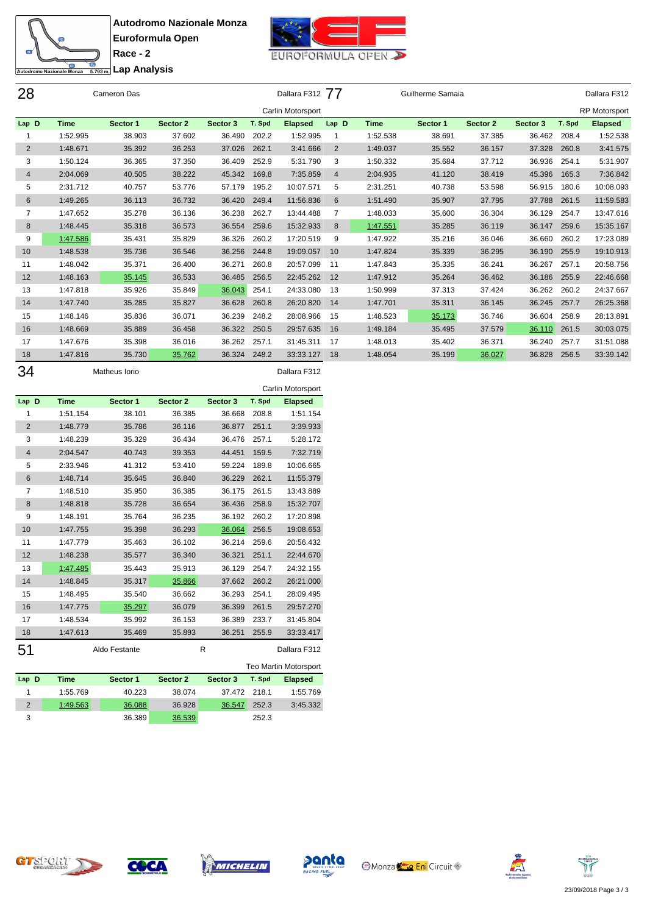



<del>Co</del><br>England Lap Analysis

| 28             |             | Cameron Das |          |          |        | Dallara F312 77   |                |             | Guilherme Samaia |          |          |        | Dallara F312         |
|----------------|-------------|-------------|----------|----------|--------|-------------------|----------------|-------------|------------------|----------|----------|--------|----------------------|
|                |             |             |          |          |        | Carlin Motorsport |                |             |                  |          |          |        | <b>RP Motorsport</b> |
| Lap D          | <b>Time</b> | Sector 1    | Sector 2 | Sector 3 | T. Spd | <b>Elapsed</b>    | Lap D          | <b>Time</b> | Sector 1         | Sector 2 | Sector 3 | T. Spd | <b>Elapsed</b>       |
|                | 1:52.995    | 38.903      | 37.602   | 36.490   | 202.2  | 1:52.995          | -1             | 1:52.538    | 38.691           | 37.385   | 36.462   | 208.4  | 1:52.538             |
| $\overline{2}$ | 1:48.671    | 35.392      | 36.253   | 37.026   | 262.1  | 3:41.666          | 2              | 1:49.037    | 35.552           | 36.157   | 37.328   | 260.8  | 3:41.575             |
| 3              | 1:50.124    | 36.365      | 37.350   | 36.409   | 252.9  | 5:31.790          | 3              | 1:50.332    | 35.684           | 37.712   | 36.936   | 254.1  | 5:31.907             |
| $\overline{4}$ | 2:04.069    | 40.505      | 38.222   | 45.342   | 169.8  | 7:35.859          | $\overline{4}$ | 2:04.935    | 41.120           | 38.419   | 45.396   | 165.3  | 7:36.842             |
| 5              | 2:31.712    | 40.757      | 53.776   | 57.179   | 195.2  | 10:07.571         | 5              | 2:31.251    | 40.738           | 53.598   | 56.915   | 180.6  | 10:08.093            |
| 6              | 1:49.265    | 36.113      | 36.732   | 36.420   | 249.4  | 11:56.836         | 6              | 1:51.490    | 35.907           | 37.795   | 37.788   | 261.5  | 11:59.583            |
| 7              | 1:47.652    | 35.278      | 36.136   | 36.238   | 262.7  | 13:44.488         | 7              | 1:48.033    | 35.600           | 36.304   | 36.129   | 254.7  | 13:47.616            |
| 8              | 1:48.445    | 35.318      | 36.573   | 36.554   | 259.6  | 15:32.933         | 8              | 1:47.551    | 35.285           | 36.119   | 36.147   | 259.6  | 15:35.167            |
| 9              | 1:47.586    | 35.431      | 35.829   | 36.326   | 260.2  | 17:20.519         | 9              | 1:47.922    | 35.216           | 36.046   | 36.660   | 260.2  | 17:23.089            |
| 10             | 1:48.538    | 35.736      | 36.546   | 36.256   | 244.8  | 19:09.057         | 10             | 1:47.824    | 35.339           | 36.295   | 36.190   | 255.9  | 19:10.913            |
| 11             | 1:48.042    | 35.371      | 36.400   | 36.271   | 260.8  | 20:57.099         | 11             | 1:47.843    | 35.335           | 36.241   | 36.267   | 257.1  | 20:58.756            |
| 12             | 1:48.163    | 35.145      | 36.533   | 36.485   | 256.5  | 22:45.262         | 12             | 1:47.912    | 35.264           | 36.462   | 36.186   | 255.9  | 22:46.668            |
| 13             | 1:47.818    | 35.926      | 35.849   | 36.043   | 254.1  | 24:33.080         | 13             | 1:50.999    | 37.313           | 37.424   | 36.262   | 260.2  | 24:37.667            |
| 14             | 1:47.740    | 35.285      | 35.827   | 36.628   | 260.8  | 26:20.820         | 14             | 1:47.701    | 35.311           | 36.145   | 36.245   | 257.7  | 26:25.368            |
| 15             | 1:48.146    | 35.836      | 36.071   | 36.239   | 248.2  | 28:08.966         | 15             | 1:48.523    | 35.173           | 36.746   | 36.604   | 258.9  | 28:13.891            |
| 16             | 1:48.669    | 35.889      | 36.458   | 36.322   | 250.5  | 29:57.635         | 16             | 1:49.184    | 35.495           | 37.579   | 36.110   | 261.5  | 30:03.075            |
| 17             | 1:47.676    | 35.398      | 36.016   | 36.262   | 257.1  | 31:45.311         | 17             | 1:48.013    | 35.402           | 36.371   | 36.240   | 257.7  | 31:51.088            |
| 18             | 1:47.816    | 35.730      | 35.762   | 36.324   | 248.2  | 33:33.127         | 18             | 1:48.054    | 35.199           | 36.027   | 36.828   | 256.5  | 33:39.142            |

| 34             |             | Matheus Iorio |          |          |        | Dallara F312      |
|----------------|-------------|---------------|----------|----------|--------|-------------------|
|                |             |               |          |          |        | Carlin Motorsport |
| Lap D          | <b>Time</b> | Sector 1      | Sector 2 | Sector 3 | T. Spd | <b>Elapsed</b>    |
| 1              | 1:51.154    | 38.101        | 36.385   | 36.668   | 208.8  | 1:51.154          |
| $\overline{2}$ | 1:48.779    | 35.786        | 36.116   | 36.877   | 251.1  | 3:39.933          |
| 3              | 1:48.239    | 35.329        | 36.434   | 36.476   | 257.1  | 5:28.172          |
| $\overline{4}$ | 2:04.547    | 40.743        | 39.353   | 44.451   | 159.5  | 7:32.719          |
| 5              | 2:33.946    | 41.312        | 53.410   | 59.224   | 189.8  | 10:06.665         |
| 6              | 1:48.714    | 35.645        | 36.840   | 36.229   | 262.1  | 11:55.379         |
| 7              | 1:48.510    | 35.950        | 36.385   | 36.175   | 261.5  | 13:43.889         |
| 8              | 1:48.818    | 35.728        | 36.654   | 36.436   | 258.9  | 15:32.707         |
| 9              | 1:48.191    | 35.764        | 36.235   | 36.192   | 260.2  | 17:20.898         |
| 10             | 1:47.755    | 35.398        | 36.293   | 36.064   | 256.5  | 19:08.653         |
| 11             | 1:47.779    | 35.463        | 36.102   | 36.214   | 259.6  | 20:56.432         |
| 12             | 1:48.238    | 35.577        | 36.340   | 36.321   | 251.1  | 22:44.670         |
| 13             | 1:47.485    | 35.443        | 35.913   | 36.129   | 254.7  | 24:32.155         |
| 14             | 1:48.845    | 35.317        | 35.866   | 37.662   | 260.2  | 26:21.000         |
| 15             | 1:48.495    | 35.540        | 36.662   | 36.293   | 254.1  | 28:09.495         |
| 16             | 1:47.775    | 35.297        | 36.079   | 36.399   | 261.5  | 29:57.270         |
| 17             | 1:48.534    | 35.992        | 36.153   | 36.389   | 233.7  | 31:45.804         |
| 18             | 1:47.613    | 35.469        | 35.893   | 36.251   | 255.9  | 33:33.417         |
| 51             |             | Aldo Festante |          | R        |        | Dallara F312      |

|          |          |          |          |        | <b>Teo Martin Motorsport</b> |
|----------|----------|----------|----------|--------|------------------------------|
| Time     | Sector 1 | Sector 2 | Sector 3 | T. Spd | <b>Elapsed</b>               |
| 1:55.769 | 40.223   | 38.074   |          |        | 1:55.769                     |
| 1:49.563 | 36.088   | 36.928   | 36.547   | 252.3  | 3:45.332                     |
|          | 36.389   | 36.539   |          | 252.3  |                              |
|          |          |          |          |        | 37.472 218.1                 |







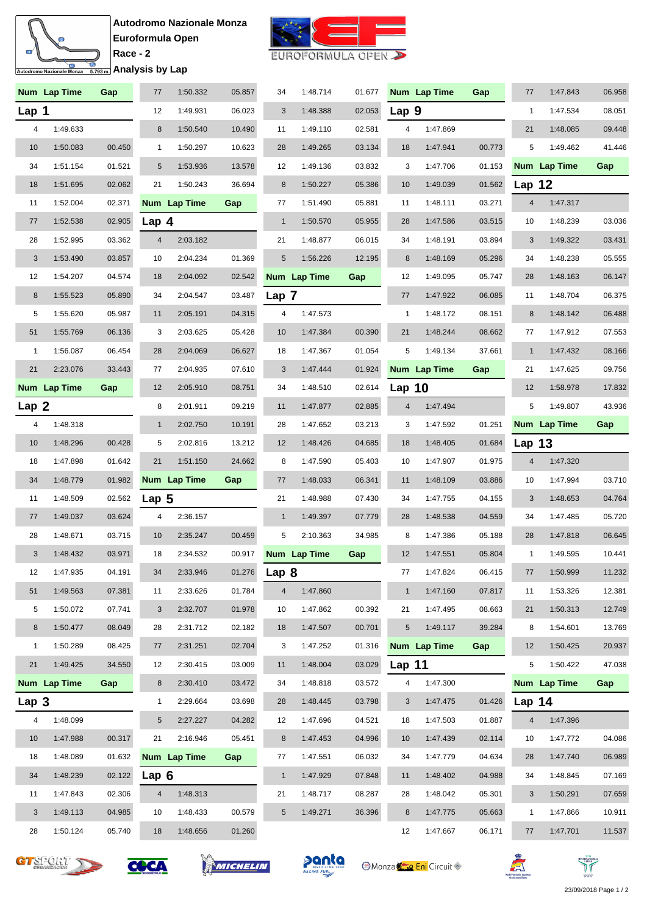



EUROFORMULA OPEN

|                  | Num Lap Time | Gap    | 77               | 1:50.332     | 05.857 | 34             | 1:48.714     | 01.677 |                | Num Lap Time | Gap    | 77             | 1:47.843     | 06.958 |
|------------------|--------------|--------|------------------|--------------|--------|----------------|--------------|--------|----------------|--------------|--------|----------------|--------------|--------|
| Lap 1            |              |        | 12               | 1:49.931     | 06.023 | 3              | 1:48.388     | 02.053 | Lap 9          |              |        | $\mathbf{1}$   | 1:47.534     | 08.051 |
| 4                | 1:49.633     |        | $\bf 8$          | 1:50.540     | 10.490 | 11             | 1:49.110     | 02.581 | 4              | 1:47.869     |        | 21             | 1:48.085     | 09.448 |
| 10               | 1:50.083     | 00.450 | 1                | 1:50.297     | 10.623 | 28             | 1:49.265     | 03.134 | 18             | 1:47.941     | 00.773 | 5              | 1:49.462     | 41.446 |
| 34               | 1:51.154     | 01.521 | $5\phantom{.0}$  | 1:53.936     | 13.578 | 12             | 1:49.136     | 03.832 | 3              | 1:47.706     | 01.153 |                | Num Lap Time | Gap    |
| 18               | 1:51.695     | 02.062 | 21               | 1:50.243     | 36.694 | $\,8\,$        | 1:50.227     | 05.386 | 10             | 1:49.039     | 01.562 | Lap 12         |              |        |
| 11               | 1:52.004     | 02.371 |                  | Num Lap Time | Gap    | 77             | 1:51.490     | 05.881 | 11             | 1:48.111     | 03.271 | $\overline{4}$ | 1:47.317     |        |
| 77               | 1:52.538     | 02.905 | Lap <sub>4</sub> |              |        | $\mathbf{1}$   | 1:50.570     | 05.955 | 28             | 1:47.586     | 03.515 | 10             | 1:48.239     | 03.036 |
| 28               | 1:52.995     | 03.362 | $\overline{4}$   | 2:03.182     |        | 21             | 1:48.877     | 06.015 | 34             | 1:48.191     | 03.894 | 3              | 1:49.322     | 03.431 |
| 3                | 1:53.490     | 03.857 | 10               | 2:04.234     | 01.369 | 5              | 1:56.226     | 12.195 | 8              | 1:48.169     | 05.296 | 34             | 1:48.238     | 05.555 |
| 12               | 1:54.207     | 04.574 | 18               | 2:04.092     | 02.542 |                | Num Lap Time | Gap    | 12             | 1:49.095     | 05.747 | 28             | 1:48.163     | 06.147 |
| 8                | 1:55.523     | 05.890 | 34               | 2:04.547     | 03.487 | Lap 7          |              |        | 77             | 1:47.922     | 06.085 | 11             | 1:48.704     | 06.375 |
| 5                | 1:55.620     | 05.987 | 11               | 2:05.191     | 04.315 | 4              | 1:47.573     |        | $\mathbf{1}$   | 1:48.172     | 08.151 | 8              | 1:48.142     | 06.488 |
| 51               | 1:55.769     | 06.136 | 3                | 2:03.625     | 05.428 | 10             | 1:47.384     | 00.390 | 21             | 1:48.244     | 08.662 | 77             | 1:47.912     | 07.553 |
| $\mathbf{1}$     | 1:56.087     | 06.454 | 28               | 2:04.069     | 06.627 | 18             | 1:47.367     | 01.054 | 5              | 1:49.134     | 37.661 | $\mathbf{1}$   | 1:47.432     | 08.166 |
| 21               | 2:23.076     | 33.443 | 77               | 2:04.935     | 07.610 | 3              | 1:47.444     | 01.924 |                | Num Lap Time | Gap    | 21             | 1:47.625     | 09.756 |
|                  | Num Lap Time | Gap    | 12               | 2:05.910     | 08.751 | 34             | 1:48.510     | 02.614 | Lap $10$       |              |        | 12             | 1:58.978     | 17.832 |
| Lap <sub>2</sub> |              |        | 8                | 2:01.911     | 09.219 | 11             | 1:47.877     | 02.885 | $\overline{4}$ | 1:47.494     |        | 5              | 1:49.807     | 43.936 |
| 4                | 1:48.318     |        | $\mathbf{1}$     | 2:02.750     | 10.191 | 28             | 1:47.652     | 03.213 | 3              | 1:47.592     | 01.251 |                | Num Lap Time | Gap    |
| 10               | 1:48.296     | 00.428 | 5                | 2:02.816     | 13.212 | 12             | 1:48.426     | 04.685 | 18             | 1:48.405     | 01.684 | <b>Lap 13</b>  |              |        |
| 18               | 1:47.898     | 01.642 | 21               | 1:51.150     | 24.662 | 8              | 1:47.590     | 05.403 | 10             | 1:47.907     | 01.975 | $\overline{4}$ | 1:47.320     |        |
| 34               | 1:48.779     | 01.982 |                  | Num Lap Time | Gap    | 77             | 1:48.033     | 06.341 | 11             | 1:48.109     | 03.886 | 10             | 1:47.994     | 03.710 |
| 11               | 1:48.509     | 02.562 | Lap $5$          |              |        | 21             | 1:48.988     | 07.430 | 34             | 1:47.755     | 04.155 | 3              | 1:48.653     | 04.764 |
| 77               | 1:49.037     | 03.624 | 4                | 2:36.157     |        | $\mathbf{1}$   | 1:49.397     | 07.779 | 28             | 1:48.538     | 04.559 | 34             | 1:47.485     | 05.720 |
| 28               | 1:48.671     | 03.715 | 10               | 2:35.247     | 00.459 | 5              | 2:10.363     | 34.985 | 8              | 1:47.386     | 05.188 | 28             | 1:47.818     | 06.645 |
| 3                | 1:48.432     | 03.971 | 18               | 2:34.532     | 00.917 |                | Num Lap Time | Gap    | 12             | 1:47.551     | 05.804 | $\mathbf{1}$   | 1:49.595     | 10.441 |
| 12               | 1:47.935     | 04.191 | 34               | 2:33.946     | 01.276 | Lap 8          |              |        | 77             | 1:47.824     | 06.415 | 77             | 1:50.999     | 11.232 |
| 51               | 1:49.563     | 07.381 | 11               | 2:33.626     | 01.784 | $\overline{4}$ | 1:47.860     |        | $\mathbf{1}$   | 1:47.160     | 07.817 | 11             | 1:53.326     | 12.381 |
| 5                | 1:50.072     | 07.741 | 3                | 2:32.707     | 01.978 | 10             | 1:47.862     | 00.392 | 21             | 1:47.495     | 08.663 | 21             | 1:50.313     | 12.749 |
| 8                | 1:50.477     | 08.049 | 28               | 2:31.712     | 02.182 | 18             | 1:47.507     | 00.701 | $\sqrt{5}$     | 1:49.117     | 39.284 | 8              | 1:54.601     | 13.769 |
| 1                | 1:50.289     | 08.425 | 77               | 2:31.251     | 02.704 | 3              | 1:47.252     | 01.316 |                | Num Lap Time | Gap    | 12             | 1:50.425     | 20.937 |
| 21               | 1:49.425     | 34.550 | 12               | 2:30.415     | 03.009 | 11             | 1:48.004     | 03.029 | Lap $11$       |              |        | 5              | 1:50.422     | 47.038 |
|                  | Num Lap Time | Gap    | 8                | 2:30.410     | 03.472 | 34             | 1:48.818     | 03.572 | 4              | 1:47.300     |        |                | Num Lap Time | Gap    |
| Lap 3            |              |        | $\mathbf{1}$     | 2:29.664     | 03.698 | 28             | 1:48.445     | 03.798 | 3              | 1:47.475     | 01.426 | Lap $14$       |              |        |
| 4                | 1:48.099     |        | 5                | 2:27.227     | 04.282 | 12             | 1:47.696     | 04.521 | 18             | 1:47.503     | 01.887 | 4              | 1:47.396     |        |
| 10               | 1:47.988     | 00.317 | 21               | 2:16.946     | 05.451 | 8              | 1:47.453     | 04.996 | 10             | 1:47.439     | 02.114 | 10             | 1:47.772     | 04.086 |
| 18               | 1:48.089     | 01.632 |                  | Num Lap Time | Gap    | 77             | 1:47.551     | 06.032 | 34             | 1:47.779     | 04.634 | 28             | 1:47.740     | 06.989 |
| 34               | 1:48.239     | 02.122 | Lap 6            |              |        | $\mathbf{1}$   | 1:47.929     | 07.848 | 11             | 1:48.402     | 04.988 | 34             | 1:48.845     | 07.169 |
|                  |              |        |                  |              |        |                |              |        |                |              |        |                |              |        |
| 11               | 1:47.843     | 02.306 | 4                | 1:48.313     |        | 21             | 1:48.717     | 08.287 | 28             | 1:48.042     | 05.301 | 3              | 1:50.291     | 07.659 |
| 3                | 1:49.113     | 04.985 | 10               | 1:48.433     | 00.579 | 5              | 1:49.271     | 36.396 | 8              | 1:47.775     | 05.663 | $\mathbf{1}$   | 1:47.866     | 10.911 |









**Monza Eni** Circuit



ז ו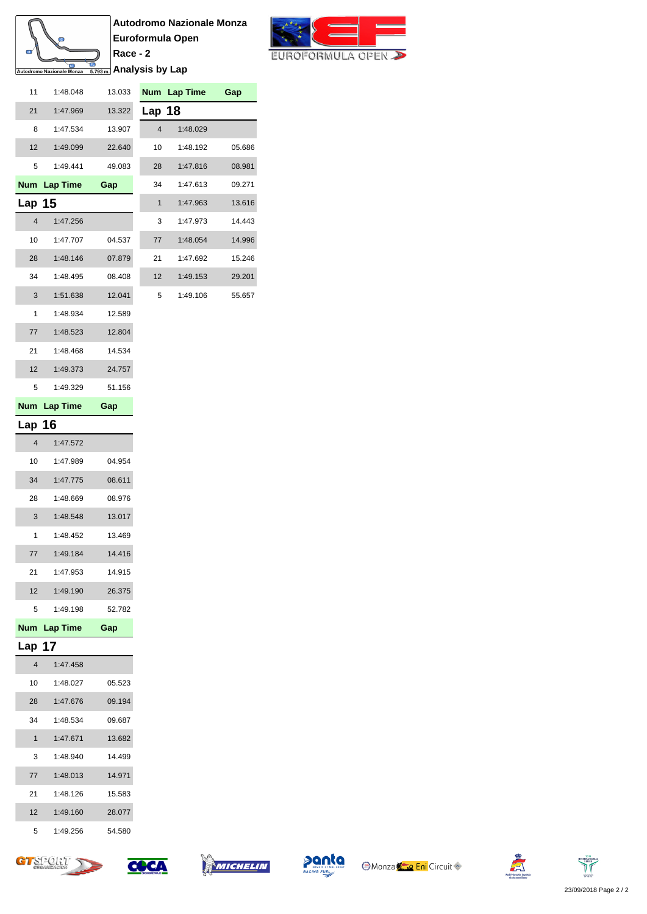

**Autodromo Nazionale Monza Euroformula Open Race - 2 <u><b>Analysis by Lap**</u>



| 11                      | 1:48.048        | 13.033 |                         | Num Lap Time | Gap    |
|-------------------------|-----------------|--------|-------------------------|--------------|--------|
| 21                      | 1:47.969        | 13.322 | Lap 18                  |              |        |
| 8                       | 1:47.534        | 13.907 | $\overline{\mathbf{4}}$ | 1:48.029     |        |
| 12                      | 1:49.099        | 22.640 | 10                      | 1:48.192     | 05.686 |
| 5                       | 1:49.441        | 49.083 | 28                      | 1:47.816     | 08.981 |
| <b>Num</b>              | <b>Lap Time</b> | Gap    | 34                      | 1:47.613     | 09.271 |
| Lap $15$                |                 |        | 1                       | 1:47.963     | 13.616 |
| $\overline{4}$          | 1:47.256        |        | 3                       | 1:47.973     | 14.443 |
| 10                      | 1:47.707        | 04.537 | 77                      | 1:48.054     | 14.996 |
| 28                      | 1:48.146        | 07.879 | 21                      | 1:47.692     | 15.246 |
| 34                      | 1:48.495        | 08.408 | 12                      | 1:49.153     | 29.201 |
| 3                       | 1:51.638        | 12.041 | 5                       | 1:49.106     | 55.657 |
| 1                       | 1:48.934        | 12.589 |                         |              |        |
| 77                      | 1:48.523        | 12.804 |                         |              |        |
| 21                      | 1:48.468        | 14.534 |                         |              |        |
| 12                      | 1:49.373        | 24.757 |                         |              |        |
| 5                       | 1:49.329        | 51.156 |                         |              |        |
| <b>Num</b>              | <b>Lap Time</b> | Gap    |                         |              |        |
| Lap 16                  |                 |        |                         |              |        |
| $\overline{\mathbf{4}}$ | 1:47.572        |        |                         |              |        |
| 10                      | 1:47.989        | 04.954 |                         |              |        |
| 34                      | 1:47.775        | 08.611 |                         |              |        |
| 28                      | 1:48.669        | 08.976 |                         |              |        |
| 3                       | 1:48.548        | 13.017 |                         |              |        |
| 1                       | 1:48.452        | 13.469 |                         |              |        |
| 77                      | 1:49.184        | 14.416 |                         |              |        |
| 21                      | 1:47.953        | 14.915 |                         |              |        |
| 12                      | 1:49.190        | 26.375 |                         |              |        |
| 5                       | 1:49.198        | 52.782 |                         |              |        |
| <b>Num</b>              | <b>Lap Time</b> | Gap    |                         |              |        |
| Lap                     | 17              |        |                         |              |        |
| 4                       | 1:47.458        |        |                         |              |        |
| 10                      | 1:48.027        | 05.523 |                         |              |        |
| 28                      | 1:47.676        | 09.194 |                         |              |        |
| 34                      | 1:48.534        | 09.687 |                         |              |        |
| 1                       | 1:47.671        | 13.682 |                         |              |        |
| 3                       | 1:48.940        | 14.499 |                         |              |        |
| 77                      | 1:48.013        | 14.971 |                         |              |        |
| 21                      | 1:48.126        | 15.583 |                         |              |        |
| 12                      | 1:49.160        | 28.077 |                         |              |        |
| 5                       | 1:49.256        | 54.580 |                         |              |        |











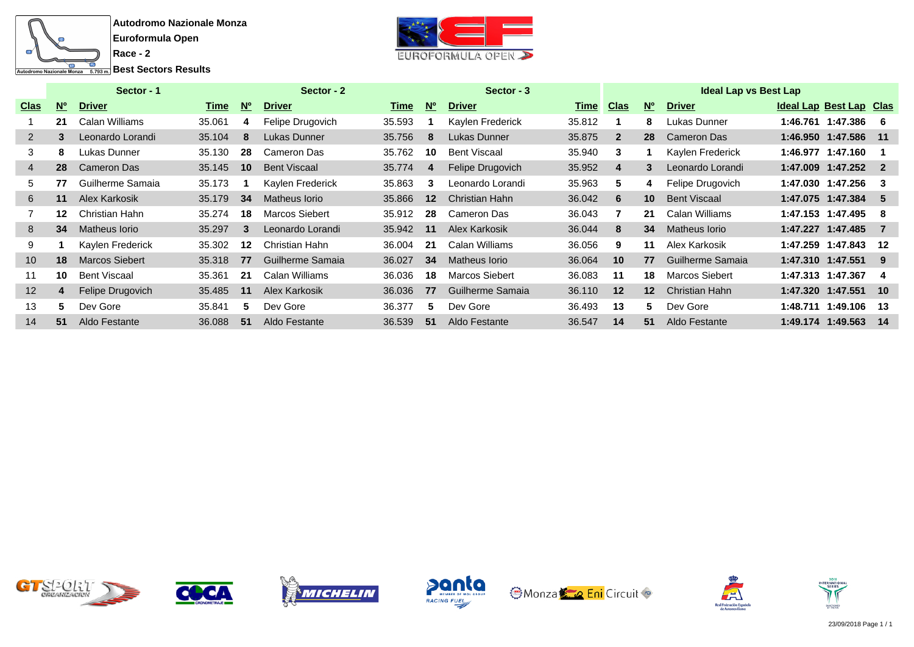



|                   | Sector - 1     |                       |        |                | Sector - 2            |        |           | Sector - 3          |             | <b>Ideal Lap vs Best Lap</b> |                 |                       |  |                         |       |  |  |
|-------------------|----------------|-----------------------|--------|----------------|-----------------------|--------|-----------|---------------------|-------------|------------------------------|-----------------|-----------------------|--|-------------------------|-------|--|--|
| <u>Clas</u>       | N <sub>o</sub> | <b>Driver</b>         | Time   | N <sub>o</sub> | <b>Driver</b>         | Time   | <b>No</b> | <b>Driver</b>       | <u>Time</u> | <u>Clas</u>                  | <b>No</b>       | <b>Driver</b>         |  | Ideal Lap Best Lap Clas |       |  |  |
|                   | 21             | Calan Williams        | 35.061 | 4              | Felipe Drugovich      | 35.593 |           | Kaylen Frederick    | 35.812      |                              | 8               | Lukas Dunner          |  | 1:46.761 1:47.386       | -6    |  |  |
| $\overline{2}$    | 3              | Leonardo Lorandi      | 35.104 | 8              | Lukas Dunner          | 35.756 | 8         | Lukas Dunner        | 35.875      | $\mathbf{2}$                 | 28              | Cameron Das           |  | 1:46.950 1:47.586       | - 11  |  |  |
| 3                 | 8              | Lukas Dunner          | 35.130 | 28             | Cameron Das           | 35.762 | 10        | <b>Bent Viscaal</b> | 35.940      | 3                            |                 | Kaylen Frederick      |  | 1:46.977 1:47.160       |       |  |  |
| $\overline{4}$    | 28             | Cameron Das           | 35.145 | 10             | <b>Bent Viscaal</b>   | 35.774 | 4         | Felipe Drugovich    | 35.952      | 4                            | 3               | Leonardo Lorandi      |  | 1:47.009 1:47.252 2     |       |  |  |
| 5.                | 77             | Guilherme Samaia      | 35.173 |                | Kaylen Frederick      | 35.863 | 3         | Leonardo Lorandi    | 35.963      | 5                            | 4               | Felipe Drugovich      |  | 1:47.030 1:47.256       | -3    |  |  |
| 6                 | 11             | Alex Karkosik         | 35.179 | 34             | Matheus Iorio         | 35.866 | $12 \,$   | Christian Hahn      | 36.042      | 6                            | 10 <sup>1</sup> | <b>Bent Viscaal</b>   |  | 1:47.075 1:47.384       | -5    |  |  |
|                   | 12             | Christian Hahn        | 35.274 | 18             | <b>Marcos Siebert</b> | 35.912 | 28        | Cameron Das         | 36.043      |                              | 21              | Calan Williams        |  | 1:47.153 1:47.495       | -8    |  |  |
| 8                 | 34             | Matheus Iorio         | 35.297 | 3              | Leonardo Lorandi      | 35.942 | 11        | Alex Karkosik       | 36.044      | 8                            | 34              | Matheus Iorio         |  | 1:47.227 1:47.485       | -7    |  |  |
| 9                 |                | Kaylen Frederick      | 35.302 | 12             | Christian Hahn        | 36.004 | -21       | Calan Williams      | 36.056      | 9                            | 11              | Alex Karkosik         |  | 1:47.259 1:47.843       | 12    |  |  |
| 10 <sup>°</sup>   | 18             | <b>Marcos Siebert</b> | 35.318 | 77             | Guilherme Samaia      | 36.027 | 34        | Matheus Iorio       | 36.064      | 10                           | 77              | Guilherme Samaia      |  | 1:47.310 1:47.551       | 9     |  |  |
| 11                | 10             | <b>Bent Viscaal</b>   | 35.361 | 21             | Calan Williams        | 36.036 | 18        | Marcos Siebert      | 36.083      | 11                           | 18              | <b>Marcos Siebert</b> |  | 1:47.313 1:47.367       | 4     |  |  |
| $12 \overline{ }$ | 4              | Felipe Drugovich      | 35.485 | 11             | Alex Karkosik         | 36.036 | 77        | Guilherme Samaia    | 36.110      | $12 \,$                      | 12 <sup>1</sup> | <b>Christian Hahn</b> |  | 1:47.320 1:47.551       | $-10$ |  |  |
| 13                | 5              | Dev Gore              | 35.841 | 5.             | Dev Gore              | 36.377 | 5.        | Dev Gore            | 36.493      | 13                           | 5.              | Dev Gore              |  | 1:48.711 1:49.106       | -13   |  |  |
| 14                | 51             | Aldo Festante         | 36.088 | 51             | Aldo Festante         | 36.539 | -51       | Aldo Festante       | 36.547      | 14                           | 51              | Aldo Festante         |  | 1:49.174 1:49.563       | -14   |  |  |













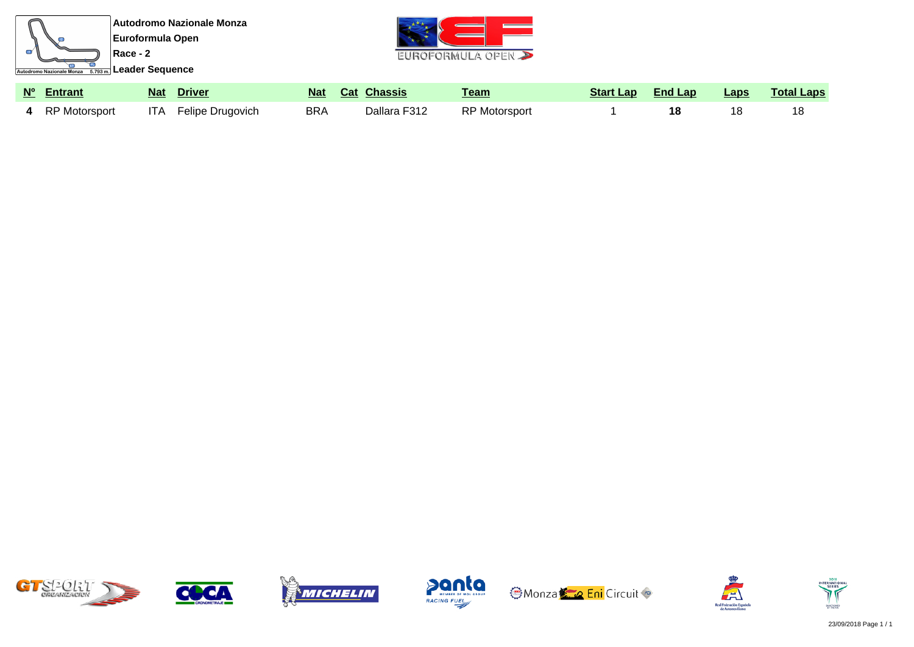

| 5201:7<br><b>ORGANIZACION</b> |  |
|-------------------------------|--|
|-------------------------------|--|











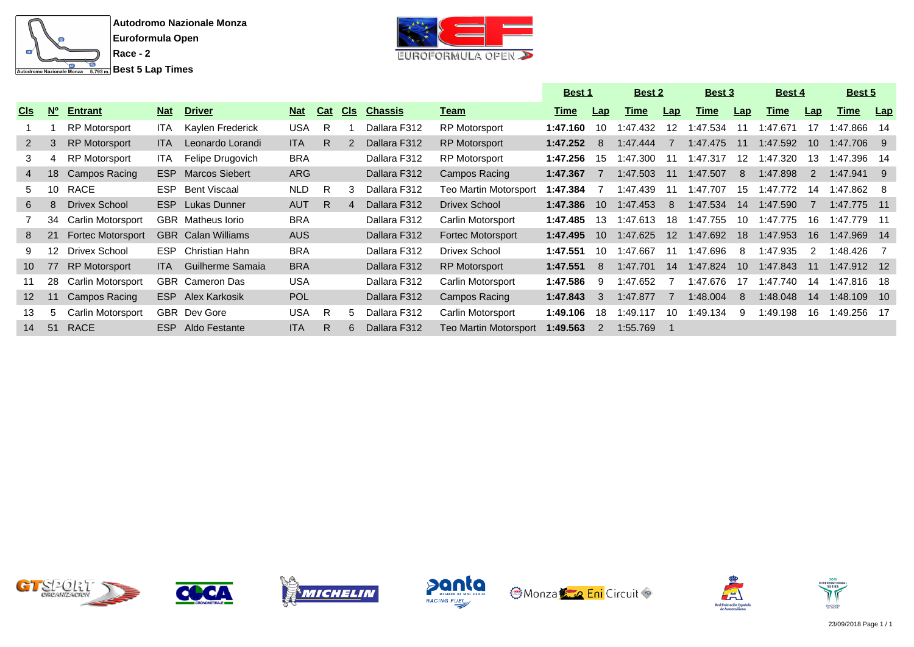

EUROFORMULA OPEN

|                 |                 |                          |            |                           |            |            |     |                |                              | <b>Best 1</b> |                |             | <b>Best 2</b>    |             | <b>Best 3</b>   |             | Best 4        |             | <b>Best 5</b> |  |
|-----------------|-----------------|--------------------------|------------|---------------------------|------------|------------|-----|----------------|------------------------------|---------------|----------------|-------------|------------------|-------------|-----------------|-------------|---------------|-------------|---------------|--|
| <u>Cls</u>      | $N^{\circ}$     | <b>Entrant</b>           | <b>Nat</b> | <b>Driver</b>             | <b>Nat</b> | <b>Cat</b> | Cls | <b>Chassis</b> | <u>Team</u>                  | <u>Time</u>   | <u>Lap</u>     | <u>Time</u> | Lap              | <b>Time</b> | Lap             | <u>Time</u> | Lap           | <b>Time</b> | <b>Lap</b>    |  |
|                 |                 | <b>RP Motorsport</b>     | ITA.       | Kaylen Frederick          | <b>USA</b> | R          |     | Dallara F312   | <b>RP Motorsport</b>         | 1:47.160      | 10             | 1:47.432    | 12               | 1:47.534    | 11              | 1:47.671    | 17            | 1:47.866 14 |               |  |
| $2^{\circ}$     | 3               | <b>RP Motorsport</b>     | ITA.       | Leonardo Lorandi          | <b>ITA</b> | R          | 2   | Dallara F312   | <b>RP Motorsport</b>         | 1:47.252      | -8             | 1:47.444    |                  | 1:47.475    | $-11$           | 1:47.592    | 10            | 1:47.706 9  |               |  |
| 3               | 4               | <b>RP Motorsport</b>     | ITA I      | Felipe Drugovich          | <b>BRA</b> |            |     | Dallara F312   | <b>RP Motorsport</b>         | 1:47.256      | 15             | 1:47.300    | 11               | 1:47.317    | 12              | 1:47.320    | 13            | 1:47.396 14 |               |  |
|                 | 18              | Campos Racing            | ESP.       | <b>Marcos Siebert</b>     | ARG        |            |     | Dallara F312   | Campos Racing                | 1:47.367      |                | 1:47.503    | 11               | 1:47.507    | -8              | 1:47.898    | 2             | 1:47.941 9  |               |  |
| 5.              | 10              | <b>RACE</b>              | ESP.       | Bent Viscaal              | <b>NLD</b> | R          | 3   | Dallara F312   | <b>Teo Martin Motorsport</b> | 1:47.384      |                | 1:47.439    | 11               | 1:47.707    | 15              | 1:47.772    | 14            | 1:47.862 8  |               |  |
| 6               | 8               | Drivex School            |            | <b>ESP</b> Lukas Dunner   | <b>AUT</b> | R.         | 4   | Dallara F312   | Drivex School                | 1:47.386      | 10             | 1:47.453    | -8               | 1:47.534    | -14             | 1:47.590    |               | 1:47.775 11 |               |  |
|                 | 34              | Carlin Motorsport        |            | <b>GBR</b> Matheus lorio  | <b>BRA</b> |            |     | Dallara F312   | Carlin Motorsport            | 1:47.485      | 13             | 1:47.613    | 18               | 1:47.755    | 10              | 1:47.775    | 16            | 1:47.779 11 |               |  |
| 8.              | 21              | <b>Fortec Motorsport</b> |            | <b>GBR</b> Calan Williams | AUS        |            |     | Dallara F312   | Fortec Motorsport            | 1:47.495      | 10             | 1:47.625    | 12 <sup>12</sup> | 1:47.692    | 18              | 1:47.953    | 16            | 1:47.969 14 |               |  |
| 9.              | 12 <sup>°</sup> | Drivex School            | ESP.       | Christian Hahn            | <b>BRA</b> |            |     | Dallara F312   | Drivex School                | 1:47.551      | 10             | 1:47.667    | 11               | 1:47.696    | -8              | 1:47.935    | $\mathcal{P}$ | 1:48.426 7  |               |  |
| 10 <sup>°</sup> | 77              | <b>RP Motorsport</b>     | ITA.       | Guilherme Samaia          | <b>BRA</b> |            |     | Dallara F312   | <b>RP Motorsport</b>         | 1:47.551      | -8             | 1:47.701    | 14               | 1:47.824    | 10 <sup>1</sup> | 1:47.843    | 11            | 1:47.912 12 |               |  |
| 11              | 28              | Carlin Motorsport        |            | <b>GBR</b> Cameron Das    | <b>USA</b> |            |     | Dallara F312   | Carlin Motorsport            | 1:47.586      | -9             | 1:47.652    |                  | 1:47.676    | 17              | 1:47.740    | 14            | 1:47.816 18 |               |  |
| 12 <sup>2</sup> | 11              | Campos Racing            | <b>ESP</b> | Alex Karkosik             | <b>POL</b> |            |     | Dallara F312   | Campos Racing                | 1:47.843      | -3             | 1:47.877    | $\overline{7}$   | 1:48.004    | -8              | 1:48.048    | 14            | 1:48.109 10 |               |  |
| 13              | $\mathbf b$     | Carlin Motorsport        |            | <b>GBR</b> Dev Gore       | <b>USA</b> | R          | 5   | Dallara F312   | Carlin Motorsport            | 1:49.106      | 18             | 1:49.117    | 10               | 1:49.134    | 9               | 1:49.198    | 16            | 1:49.256 17 |               |  |
| 14              | 51              | <b>RACE</b>              | ESP        | Aldo Festante             | <b>ITA</b> | R          | 6   | Dallara F312   | <b>Teo Martin Motorsport</b> | 1:49.563      | $\overline{2}$ | 1:55.769    |                  |             |                 |             |               |             |               |  |













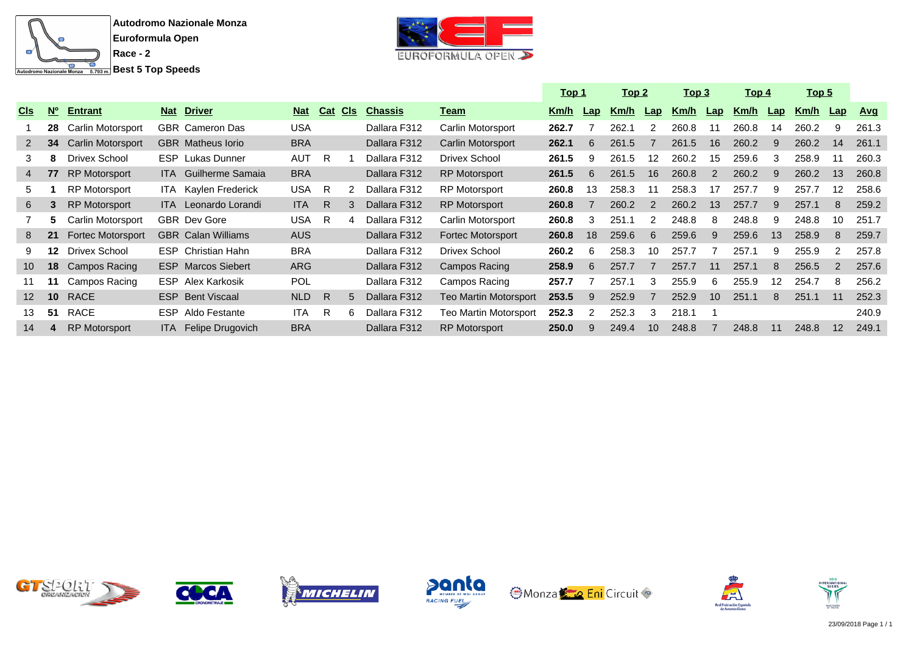



|                 |                 |                      |            |                             |            |     |             |                |                       | <u> Top 1</u> |     | <u> Top 2</u> |     | <u>Top 3</u> |     | <u> Top 4</u> |     |             | <u>Top 5</u>      |            |
|-----------------|-----------------|----------------------|------------|-----------------------------|------------|-----|-------------|----------------|-----------------------|---------------|-----|---------------|-----|--------------|-----|---------------|-----|-------------|-------------------|------------|
| <b>CIS</b>      | $N^{\circ}$     | <b>Entrant</b>       | <b>Nat</b> | <b>Driver</b>               | <b>Nat</b> | Cat | CIs         | <b>Chassis</b> | <u>Team</u>           | <u>Km/h</u>   | Lap | Km/h          | Lap | <u>Km/h</u>  | Lap | <u>Km/h</u>   | Lap | <u>Km/h</u> | $\mathsf{Lap}$    | <u>Avq</u> |
|                 | 28              | Carlin Motorsport    |            | GBR Cameron Das             | <b>USA</b> |     |             | Dallara F312   | Carlin Motorsport     | 262.7         |     | 262.1         |     | 260.8        | 11  | 260.8         | 14  | 260.2       | 9                 | 261.3      |
| 2 <sup>1</sup>  | 34              | Carlin Motorsport    |            | <b>GBR</b> Matheus lorio    | <b>BRA</b> |     |             | Dallara F312   | Carlin Motorsport     | 262.1         | 6   | 261.5         |     | 261.5        | 16  | 260.2         | 9   | 260.2       | 14                | 261.1      |
| 3               | 8               | Drivex School        |            | <b>ESP</b> Lukas Dunner     | <b>AUT</b> | R   |             | Dallara F312   | Drivex School         | 261.5         | я   | 261.5         | 12  | 260.2        | 15  | 259.6         | 3   | 258.9       | 11                | 260.3      |
| 4               | 77              | <b>RP</b> Motorsport |            | <b>ITA</b> Guilherme Samaia | <b>BRA</b> |     |             | Dallara F312   | <b>RP Motorsport</b>  | 261.5         | 6   | 261.5         | 16  | 260.8        | 2   | 260.2         | 9   | 260.2       | 13                | 260.8      |
| 5.              |                 | <b>RP Motorsport</b> |            | ITA Kaylen Frederick        | <b>USA</b> | R   |             | Dallara F312   | <b>RP Motorsport</b>  | 260.8         | 13  | 258.3         | 11  | 258.3        | 17  | 257.7         | 9   | 257.7       | $12 \overline{ }$ | 258.6      |
| 6               | 3               | <b>RP Motorsport</b> |            | <b>ITA</b> Leonardo Lorandi | <b>ITA</b> | R.  |             | Dallara F312   | <b>RP Motorsport</b>  | 260.8         |     | 260.2         | 2   | 260.2        | 13  | 257.7         | 9   | 257.1       | 8                 | 259.2      |
|                 | 5.              | Carlin Motorsport    |            | <b>GBR</b> Dev Gore         | <b>USA</b> | R   |             | Dallara F312   | Carlin Motorsport     | 260.8         | 3   | 251.1         |     | 248.8        | 8   | 248.8         | 9   | 248.8       | 10                | 251.7      |
| 8               | 21              | Fortec Motorsport    |            | <b>GBR</b> Calan Williams   | <b>AUS</b> |     |             | Dallara F312   | Fortec Motorsport     | 260.8         | 18  | 259.6         | 6   | 259.6        | 9   | 259.6         | 13  | 258.9       | 8                 | 259.7      |
| 9.              | 12              | Drivex School        |            | <b>ESP</b> Christian Hahn   | <b>BRA</b> |     |             | Dallara F312   | <b>Drivex School</b>  | 260.2         | 6   | 258.3         | 10  | 257.7        |     | 257.1         | 9   | 255.9       | 2                 | 257.8      |
| 10 <sup>°</sup> | 18              | Campos Racing        |            | <b>ESP</b> Marcos Siebert   | <b>ARG</b> |     |             | Dallara F312   | Campos Racing         | 258.9         | 6   | 257.7         |     | 257.7        | 11  | 257.1         | 8   | 256.5       | 2                 | 257.6      |
| 11              | 11              | Campos Racing        |            | <b>ESP</b> Alex Karkosik    | <b>POL</b> |     |             | Dallara F312   | Campos Racing         | 257.7         |     | 257.1         | 3   | 255.9        | 6   | 255.9         | 12  | 254.7       | 8                 | 256.2      |
| 12 <sup>2</sup> | 10 <sup>°</sup> | <b>RACE</b>          |            | <b>ESP</b> Bent Viscaal     | NLD        | R   | $5^{\circ}$ | Dallara F312   | Teo Martin Motorsport | 253.5         | 9   | 252.9         |     | 252.9        | 10  | 251.1         | 8   | 251.1       | 11                | 252.3      |
| 13              | 51              | RACE                 |            | <b>ESP</b> Aldo Festante    | <b>ITA</b> | R   |             | Dallara F312   | Teo Martin Motorsport | 252.3         |     | 252.3         | 3   | 218.1        |     |               |     |             |                   | 240.9      |
| 14              | 4               | <b>RP Motorsport</b> |            | ITA Felipe Drugovich        | <b>BRA</b> |     |             | Dallara F312   | <b>RP Motorsport</b>  | 250.0         | 9   | 249.4         | 10  | 248.8        |     | 248.8         | 11  | 248.8       | 12                | 249.1      |











![](_page_12_Picture_10.jpeg)

![](_page_12_Picture_11.jpeg)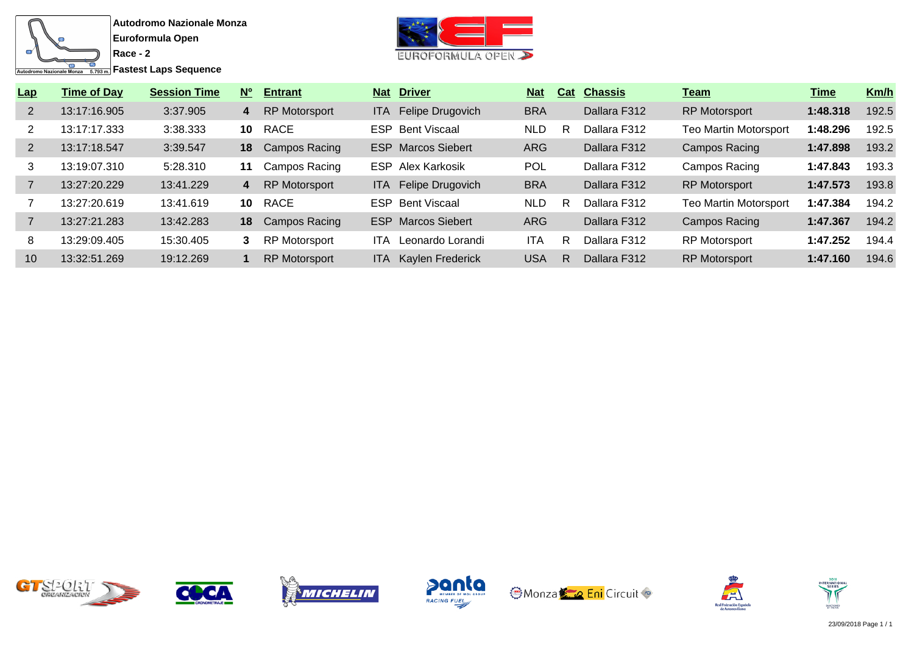![](_page_13_Figure_0.jpeg)

**Fastest Laps Sequence** 

![](_page_13_Picture_3.jpeg)

| Lap            | <b>Time of Day</b> | <b>Session Time</b> | $N^{\circ}$ | <b>Entrant</b>       |       | <b>Nat Driver</b>         | <b>Nat</b> | Cat | <b>Chassis</b> | <u>Team</u>                  | <u>Time</u> | Km/h  |
|----------------|--------------------|---------------------|-------------|----------------------|-------|---------------------------|------------|-----|----------------|------------------------------|-------------|-------|
| $\overline{2}$ | 13:17:16.905       | 3:37.905            | 4           | <b>RP Motorsport</b> | ITA I | Felipe Drugovich          | <b>BRA</b> |     | Dallara F312   | <b>RP Motorsport</b>         | 1:48.318    | 192.5 |
|                | 13:17:17.333       | 3:38.333            | 10          | RACE                 | ESP.  | <b>Bent Viscaal</b>       | <b>NLD</b> | R   | Dallara F312   | <b>Teo Martin Motorsport</b> | 1:48.296    | 192.5 |
| $\overline{2}$ | 13:17:18.547       | 3:39.547            | 18          | Campos Racing        | ESP.  | <b>Marcos Siebert</b>     | <b>ARG</b> |     | Dallara F312   | <b>Campos Racing</b>         | 1:47.898    | 193.2 |
| 3              | 13:19:07.310       | 5:28.310            | 11          | Campos Racing        | ESP.  | Alex Karkosik             | <b>POL</b> |     | Dallara F312   | Campos Racing                | 1:47.843    | 193.3 |
|                | 13:27:20.229       | 13:41.229           | 4           | RP Motorsport        | ITA I | Felipe Drugovich          | <b>BRA</b> |     | Dallara F312   | <b>RP Motorsport</b>         | 1:47.573    | 193.8 |
|                | 13:27:20.619       | 13:41.619           | 10          | RACE                 |       | <b>ESP</b> Bent Viscaal   | <b>NLD</b> | R   | Dallara F312   | <b>Teo Martin Motorsport</b> | 1:47.384    | 194.2 |
|                | 13:27:21.283       | 13:42.283           | 18          | Campos Racing        |       | <b>ESP</b> Marcos Siebert | <b>ARG</b> |     | Dallara F312   | Campos Racing                | 1:47.367    | 194.2 |
| 8              | 13:29:09.405       | 15:30.405           | 3           | <b>RP Motorsport</b> | ITA.  | Leonardo Lorandi          | ITA        | R   | Dallara F312   | <b>RP Motorsport</b>         | 1:47.252    | 194.4 |
| 10             | 13:32:51.269       | 19:12.269           |             | <b>RP Motorsport</b> |       | ITA Kaylen Frederick      | <b>USA</b> | R   | Dallara F312   | <b>RP Motorsport</b>         | 1:47.160    | 194.6 |

![](_page_13_Picture_5.jpeg)

![](_page_13_Picture_6.jpeg)

![](_page_13_Picture_7.jpeg)

![](_page_13_Picture_8.jpeg)

![](_page_13_Picture_9.jpeg)

![](_page_13_Picture_10.jpeg)

![](_page_13_Picture_11.jpeg)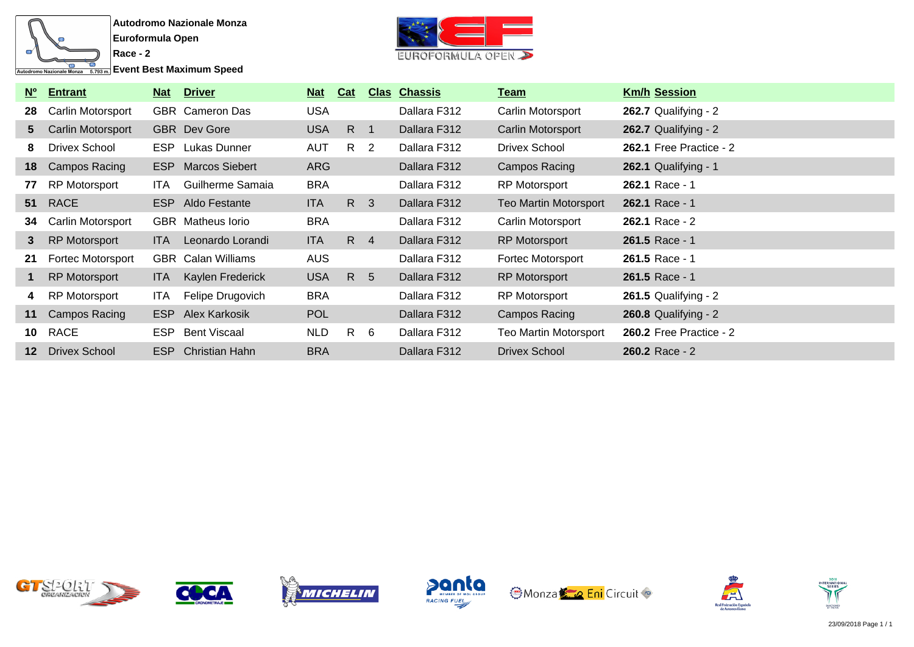![](_page_14_Figure_0.jpeg)

**Event Best Maximum Speed** 

![](_page_14_Picture_3.jpeg)

| $N^{\circ}$     | <b>Entrant</b>       | <u>Nat</u> | <u>Driver</u>             | <b>Nat</b> | Cat          |     | <b>Clas Chassis</b> | <u>Team</u>                  | <b>Km/h Session</b>            |
|-----------------|----------------------|------------|---------------------------|------------|--------------|-----|---------------------|------------------------------|--------------------------------|
| 28              | Carlin Motorsport    |            | <b>GBR</b> Cameron Das    | <b>USA</b> |              |     | Dallara F312        | Carlin Motorsport            | 262.7 Qualifying - $2$         |
| 5 <sup>5</sup>  | Carlin Motorsport    |            | <b>GBR</b> Dev Gore       | <b>USA</b> | $R \quad 1$  |     | Dallara F312        | Carlin Motorsport            | 262.7 Qualifying - 2           |
| 8               | Drivex School        |            | <b>ESP</b> Lukas Dunner   | <b>AUT</b> | R 2          |     | Dallara F312        | Drivex School                | 262.1 Free Practice - 2        |
| 18              | Campos Racing        |            | <b>ESP</b> Marcos Siebert | <b>ARG</b> |              |     | Dallara F312        | Campos Racing                | 262.1 Qualifying - 1           |
| 77              | <b>RP Motorsport</b> | ITA.       | Guilherme Samaia          | <b>BRA</b> |              |     | Dallara F312        | <b>RP Motorsport</b>         | 262.1 Race - 1                 |
| 51              | <b>RACE</b>          |            | ESP Aldo Festante         | ITA.       | R 3          |     | Dallara F312        | <b>Teo Martin Motorsport</b> | 262.1 Race - 1                 |
| 34              | Carlin Motorsport    |            | GBR Matheus lorio         | <b>BRA</b> |              |     | Dallara F312        | Carlin Motorsport            | 262.1 Race - 2                 |
| 3               | <b>RP Motorsport</b> | ITA.       | Leonardo Lorandi          | ITA.       | R 4          |     | Dallara F312        | <b>RP Motorsport</b>         | 261.5 Race - 1                 |
| 21              | Fortec Motorsport    |            | <b>GBR</b> Calan Williams | <b>AUS</b> |              |     | Dallara F312        | <b>Fortec Motorsport</b>     | 261.5 Race - 1                 |
|                 | <b>RP Motorsport</b> | ITA.       | Kaylen Frederick          | <b>USA</b> | R 5          |     | Dallara F312        | <b>RP Motorsport</b>         | 261.5 Race - 1                 |
| 4               | RP Motorsport        | ITA.       | Felipe Drugovich          | <b>BRA</b> |              |     | Dallara F312        | <b>RP Motorsport</b>         | <b>261.5 Qualifying - 2</b>    |
| 11              | Campos Racing        |            | ESP Alex Karkosik         | <b>POL</b> |              |     | Dallara F312        | Campos Racing                | 260.8 Qualifying - 2           |
| 10              | RACE                 |            | ESP Bent Viscaal          | <b>NLD</b> | $\mathsf{R}$ | - 6 | Dallara F312        | <b>Teo Martin Motorsport</b> | <b>260.2 Free Practice - 2</b> |
| 12 <sup>1</sup> | Drivex School        | ESP        | <b>Christian Hahn</b>     | <b>BRA</b> |              |     | Dallara F312        | <b>Drivex School</b>         | 260.2 Race - 2                 |

![](_page_14_Picture_5.jpeg)

![](_page_14_Picture_6.jpeg)

![](_page_14_Picture_7.jpeg)

![](_page_14_Picture_8.jpeg)

![](_page_14_Picture_9.jpeg)

![](_page_14_Picture_10.jpeg)

![](_page_14_Picture_11.jpeg)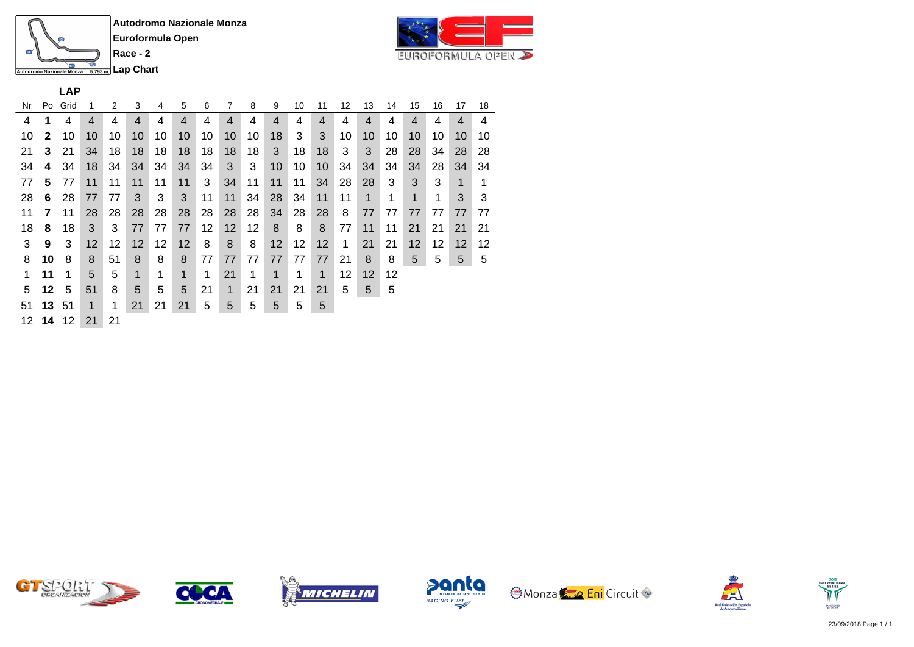![](_page_15_Picture_0.jpeg)

![](_page_15_Picture_3.jpeg)

**LAP**

| Nr | Po           | Grid  | 1  | 2  | 3                 | 4  | 5              | 6  | 7              | 8  | 9           | 10 | 11 | 12 | 13             | 14 | 15 | 16 | 17 | 18 |
|----|--------------|-------|----|----|-------------------|----|----------------|----|----------------|----|-------------|----|----|----|----------------|----|----|----|----|----|
| 4  | 1            | 4     | 4  | 4  | 4                 | 4  | $\overline{4}$ | 4  | $\overline{4}$ | 4  | 4           | 4  | 4  | 4  | $\overline{4}$ | 4  | 4  | 4  | 4  | 4  |
| 10 | $\mathbf{2}$ | 10    | 10 | 10 | 10                | 10 | 10             | 10 | 10             | 10 | 18          | 3  | 3  | 10 | 10             | 10 | 10 | 10 | 10 | 10 |
| 21 | 3            | 21    | 34 | 18 | 18                | 18 | 18             | 18 | 18             | 18 | 3           | 18 | 18 | 3  | 3              | 28 | 28 | 34 | 28 | 28 |
| 34 | 4            | 34    | 18 | 34 | 34                | 34 | 34             | 34 | 3              | 3  | 10          | 10 | 10 | 34 | 34             | 34 | 34 | 28 | 34 | 34 |
| 77 | 5            | 77    | 11 | 11 | 11                | 11 | 11             | 3  | 34             | 11 | 11          | 11 | 34 | 28 | 28             | 3  | 3  | 3  | 1  | 1  |
| 28 | 6            | 28    | 77 | 77 | 3                 | 3  | 3              | 11 | 11             | 34 | 28          | 34 | 11 | 11 | 1              | 1  | 1  | 1  | 3  | 3  |
| 11 | 7            | 11    | 28 | 28 | 28                | 28 | 28             | 28 | 28             | 28 | 34          | 28 | 28 | 8  | 77             | 77 | 77 | 77 | 77 | 77 |
| 18 | 8            | 18    | 3  | 3  | 77                | 77 | 77             | 12 | 12             | 12 | 8           | 8  | 8  | 77 | 11             | 11 | 21 | 21 | 21 | 21 |
| 3  | 9            | 3     | 12 | 12 | $12 \overline{ }$ | 12 | 12             | 8  | 8              | 8  | 12          | 12 | 12 | 1  | 21             | 21 | 12 | 12 | 12 | 12 |
| 8  | 10           | 8     | 8  | 51 | 8                 | 8  | 8              | 77 | 77             | 77 | 77          | 77 | 77 | 21 | 8              | 8  | 5  | 5  | 5  | 5  |
| 1  | 11           | 1     | 5  | 5  | 1                 | 1  | 1              | 1  | 21             | 1  | $\mathbf 1$ | 1  | 1  | 12 | 12             | 12 |    |    |    |    |
| 5  | 12           | 5     | 51 | 8  | 5                 | 5  | 5              | 21 | 1              | 21 | 21          | 21 | 21 | 5  | 5              | 5  |    |    |    |    |
| 51 |              | 13 51 | 1  | 1  | 21                | 21 | 21             | 5  | 5              | 5  | 5           | 5  | 5  |    |                |    |    |    |    |    |
|    | 12 14        | 12    | 21 | 21 |                   |    |                |    |                |    |             |    |    |    |                |    |    |    |    |    |

![](_page_15_Picture_6.jpeg)

![](_page_15_Picture_7.jpeg)

![](_page_15_Picture_8.jpeg)

![](_page_15_Picture_9.jpeg)

![](_page_15_Picture_10.jpeg)

![](_page_15_Picture_11.jpeg)

![](_page_15_Picture_12.jpeg)

![](_page_15_Picture_13.jpeg)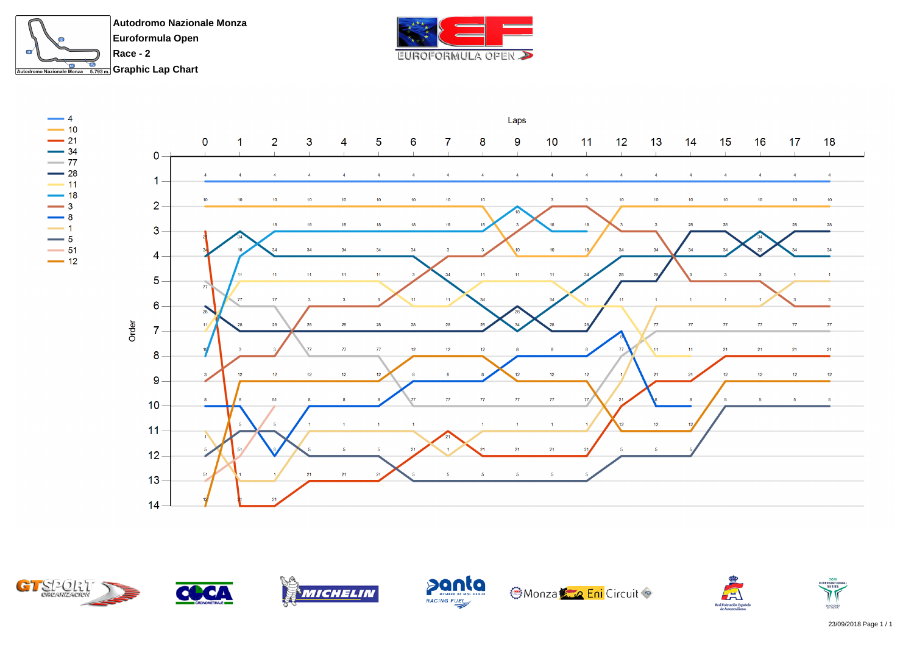![](_page_16_Picture_0.jpeg)

![](_page_16_Picture_1.jpeg)

![](_page_16_Figure_2.jpeg)

![](_page_16_Picture_3.jpeg)

**SANCRONED**<br>AV THE FIA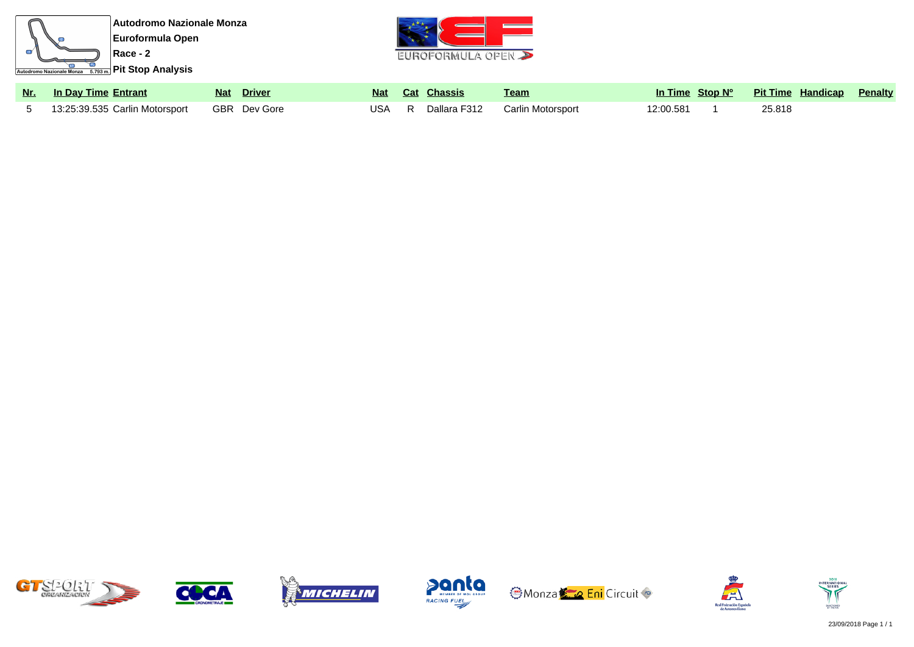![](_page_17_Picture_0.jpeg)

![](_page_17_Picture_1.jpeg)

| Nr. In Day Time Entrant                       | Nat Driver |  | <u>Nat Cat Chassis</u> | Team                                 |           | In Time Stop Nº Pit Time Handicap Penalty |  |
|-----------------------------------------------|------------|--|------------------------|--------------------------------------|-----------|-------------------------------------------|--|
| 5 13:25:39.535 Carlin Motorsport GBR Dev Gore |            |  |                        | USA R Dallara F312 Carlin Motorsport | 12:00.581 | 25.818                                    |  |

![](_page_17_Picture_3.jpeg)

![](_page_17_Picture_4.jpeg)

![](_page_17_Picture_5.jpeg)

![](_page_17_Picture_6.jpeg)

![](_page_17_Picture_7.jpeg)

![](_page_17_Picture_8.jpeg)

![](_page_17_Picture_9.jpeg)